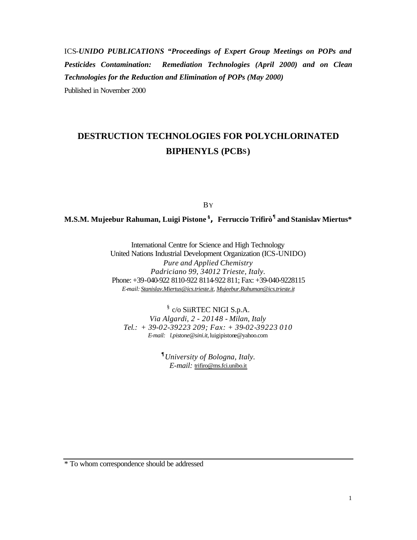ICS-*UNIDO PUBLICATIONS "Proceedings of Expert Group Meetings on POPs and Pesticides Contamination: Remediation Technologies (April 2000) and on Clean Technologies for the Reduction and Elimination of POPs (May 2000)* Published in November 2000

# **DESTRUCTION TECHNOLOGIES FOR POLYCHLORINATED BIPHENYLS (PCBS)**

BY

# **M.S.M. Mujeebur Rahuman, Luigi Pistone §, Ferruccio Trifirò¶ and Stanislav Miertus\***

International Centre for Science and High Technology United Nations Industrial Development Organization (ICS-UNIDO) *Pure and Applied Chemistry Padriciano 99, 34012 Trieste, Italy.* Phone: +39-040-922 8110-922 8114-922 811; Fax: +39-040-9228115 *E-mail: Stanislav.Miertus@ics.trieste.it, Mujeebur.Rahuman@ics.trieste.it*

§ c/o SiiRTEC NIGI S.p.A. *Via Algardi, 2 - 20148 - Milan, Italy Tel.: + 39-02-39223 209; Fax: + 39-02-39223 010 E-mail: l.pistone@sini.it,* luigipistone@yahoo.com

> **¶** *University of Bologna, Italy. E-mail:* trifiro@ms.fci.unibo.it

\* To whom correspondence should be addressed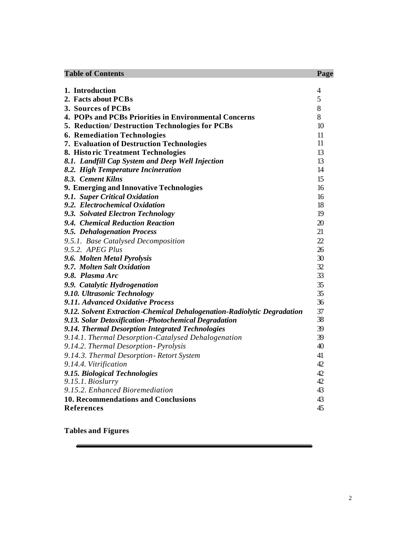| <b>Table of Contents</b>                                                | Page |
|-------------------------------------------------------------------------|------|
|                                                                         |      |
| 1. Introduction                                                         | 4    |
| 2. Facts about PCBs                                                     | 5    |
| 3. Sources of PCBs                                                      | 8    |
| 4. POPs and PCBs Priorities in Environmental Concerns                   | 8    |
| 5. Reduction/Destruction Technologies for PCBs                          | 10   |
| <b>6. Remediation Technologies</b>                                      | 11   |
| 7. Evaluation of Destruction Technologies                               | 11   |
| 8. Historic Treatment Technologies                                      | 13   |
| 8.1. Landfill Cap System and Deep Well Injection                        | 13   |
| 8.2. High Temperature Incineration                                      | 14   |
| 8.3. Cement Kilns                                                       | 15   |
| 9. Emerging and Innovative Technologies                                 | 16   |
| 9.1. Super Critical Oxidation                                           | 16   |
| 9.2. Electrochemical Oxidation                                          | 18   |
| 9.3. Solvated Electron Technology                                       | 19   |
| 9.4. Chemical Reduction Reaction                                        | 20   |
| 9.5. Dehalogenation Process                                             | 21   |
| 9.5.1. Base Catalysed Decomposition                                     | 22   |
| 9.5.2. APEG Plus                                                        | 26   |
| 9.6. Molten Metal Pyrolysis                                             | 30   |
| 9.7. Molten Salt Oxidation                                              | 32   |
| 9.8. Plasma Arc                                                         | 33   |
| 9.9. Catalytic Hydrogenation                                            | 35   |
| 9.10. Ultrasonic Technology                                             | 35   |
| 9.11. Advanced Oxidative Process                                        | 36   |
| 9.12. Solvent Extraction-Chemical Dehalogenation-Radiolytic Degradation | 37   |
| 9.13. Solar Detoxification - Photochemical Degradation                  | 38   |
| 9.14. Thermal Desorption Integrated Technologies                        | 39   |
| 9.14.1. Thermal Desorption-Catalysed Dehalogenation                     | 39   |
| 9.14.2. Thermal Desorption - Pyrolysis                                  | 40   |
| 9.14.3. Thermal Desorption - Retort System                              | 41   |
| 9.14.4. Vitrification                                                   | 42   |
| 9.15. Biological Technologies                                           | 42   |
| 9.15.1. Bioslurry                                                       | 42   |
| 9.15.2. Enhanced Bioremediation                                         | 43   |
| <b>10. Recommendations and Conclusions</b>                              | 43   |
| <b>References</b>                                                       | 45   |

**Tables and Figures**

Ξ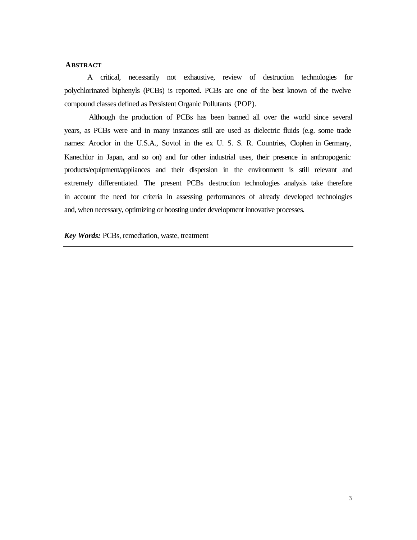# **ABSTRACT**

A critical, necessarily not exhaustive, review of destruction technologies for polychlorinated biphenyls (PCBs) is reported. PCBs are one of the best known of the twelve compound classes defined as Persistent Organic Pollutants (POP).

 Although the production of PCBs has been banned all over the world since several years, as PCBs were and in many instances still are used as dielectric fluids (e.g. some trade names: Aroclor in the U.S.A., Sovtol in the ex U.S. S. R. Countries, Clophen in Germany, Kanechlor in Japan, and so on) and for other industrial uses, their presence in anthropogenic products/equipment/appliances and their dispersion in the environment is still relevant and extremely differentiated. The present PCBs destruction technologies analysis take therefore in account the need for criteria in assessing performances of already developed technologies and, when necessary, optimizing or boosting under development innovative processes.

*Key Words:* PCBs, remediation, waste, treatment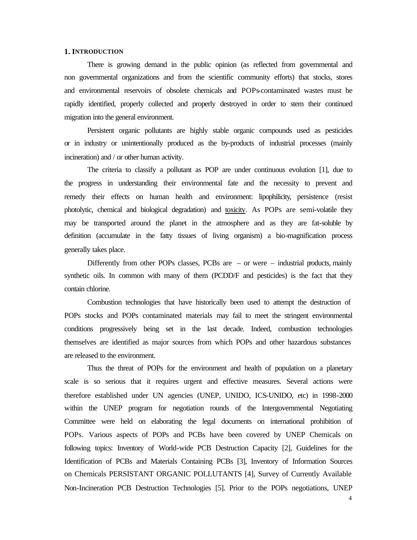#### **1. INTRODUCTION**

There is growing demand in the public opinion (as reflected from governmental and non governmental organizations and from the scientific community efforts) that stocks, stores and environmental reservoirs of obsolete chemicals and POPs-contaminated wastes must be rapidly identified, properly collected and properly destroyed in order to stem their continued migration into the general environment.

Persistent organic pollutants are highly stable organic compounds used as pesticides or in industry or unintentionally produced as the by-products of industrial processes (mainly incineration) and / or other human activity.

The criteria to classify a pollutant as POP are under continuous evolution [1], due to the progress in understanding their environmental fate and the necessity to prevent and remedy their effects on human health and environment: lipophilicity, persistence (resist photolytic, chemical and biological degradation) and toxicity. As POPs are semi-volatile they may be transported around the planet in the atmosphere and as they are fat-soluble by definition (accumulate in the fatty tissues of living organism) a bio-magnification process generally takes place.

Differently from other POPs classes, PCBs are  $-$  or were  $-$  industrial products, mainly synthetic oils. In common with many of them (PCDD/F and pesticides) is the fact that they contain chlorine.

Combustion technologies that have historically been used to attempt the destruction of POPs stocks and POPs contaminated materials may fail to meet the stringent environmental conditions progressively being set in the last decade. Indeed, combustion technologies themselves are identified as major sources from which POPs and other hazardous substances are released to the environment.

Thus the threat of POPs for the environment and health of population on a planetary scale is so serious that it requires urgent and effective measures. Several actions were therefore established under UN agencies (UNEP, UNIDO, ICS-UNIDO, etc) in 1998-2000 within the UNEP program for negotiation rounds of the Intergovernmental Negotiating Committee were held on elaborating the legal documents on international prohibition of POPs. Various aspects of POPs and PCBs have been covered by UNEP Chemicals on following topics: Inventory of World-wide PCB Destruction Capacity [2], Guidelines for the Identification of PCBs and Materials Containing PCBs [3], Inventory of Information Sources on Chemicals PERSISTANT ORGANIC POLLUTANTS [4], Survey of Currently Available Non-Incineration PCB Destruction Technologies [5]. Prior to the POPs negotiations, UNEP

4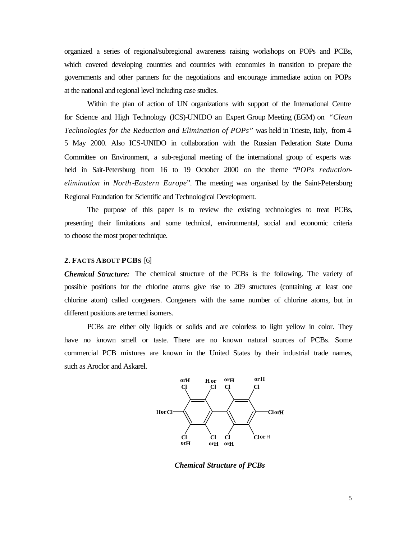organized a series of regional/subregional awareness raising workshops on POPs and PCBs, which covered developing countries and countries with economies in transition to prepare the governments and other partners for the negotiations and encourage immediate action on POPs at the national and regional level including case studies.

Within the plan of action of UN organizations with support of the International Centre for Science and High Technology (ICS)-UNIDO an Expert Group Meeting (EGM) on *"Clean Technologies for the Reduction and Elimination of POPs"* was held in Trieste, Italy, from 4- 5 May 2000. Also ICS-UNIDO in collaboration with the Russian Federation State Duma Committee on Environment, a sub-regional meeting of the international group of experts was held in Sait-Petersburg from 16 to 19 October 2000 on the theme "*POPs reductionelimination in North -Eastern Europe*". The meeting was organised by the Saint-Petersburg Regional Foundation for Scientific and Technological Development.

The purpose of this paper is to review the existing technologies to treat PCBs, presenting their limitations and some technical, environmental, social and economic criteria to choose the most proper technique.

#### **2. FACTS ABOUT PCBS** [6]

*Chemical Structure:* The chemical structure of the PCBs is the following. The variety of possible positions for the chlorine atoms give rise to 209 structures (containing at least one chlorine atom) called congeners. Congeners with the same number of chlorine atoms, but in different positions are termed isomers.

PCBs are either oily liquids or solids and are colorless to light yellow in color. They have no known smell or taste. There are no known natural sources of PCBs. Some commercial PCB mixtures are known in the United States by their industrial trade names, such as Aroclor and Askarel.



*Chemical Structure of PCBs*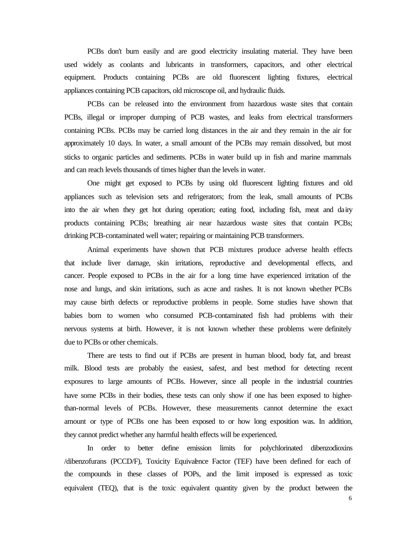PCBs don't burn easily and are good electricity insulating material. They have been used widely as coolants and lubricants in transformers, capacitors, and other electrical equipment. Products containing PCBs are old fluorescent lighting fixtures, electrical appliances containing PCB capacitors, old microscope oil, and hydraulic fluids.

PCBs can be released into the environment from hazardous waste sites that contain PCBs, illegal or improper dumping of PCB wastes, and leaks from electrical transformers containing PCBs. PCBs may be carried long distances in the air and they remain in the air for approximately 10 days. In water, a small amount of the PCBs may remain dissolved, but most sticks to organic particles and sediments. PCBs in water build up in fish and marine mammals and can reach levels thousands of times higher than the levels in water.

One might get exposed to PCBs by using old fluorescent lighting fixtures and old appliances such as television sets and refrigerators; from the leak, small amounts of PCBs into the air when they get hot during operation; eating food, including fish, meat and dairy products containing PCBs; breathing air near hazardous waste sites that contain PCBs; drinking PCB-contaminated well water; repairing or maintaining PCB transformers.

Animal experiments have shown that PCB mixtures produce adverse health effects that include liver damage, skin irritations, reproductive and developmental effects, and cancer. People exposed to PCBs in the air for a long time have experienced irritation of the nose and lungs, and skin irritations, such as acne and rashes. It is not known whether PCBs may cause birth defects or reproductive problems in people. Some studies have shown that babies born to women who consumed PCB-contaminated fish had problems with their nervous systems at birth. However, it is not known whether these problems were definitely due to PCBs or other chemicals.

There are tests to find out if PCBs are present in human blood, body fat, and breast milk. Blood tests are probably the easiest, safest, and best method for detecting recent exposures to large amounts of PCBs. However, since all people in the industrial countries have some PCBs in their bodies, these tests can only show if one has been exposed to higherthan-normal levels of PCBs. However, these measurements cannot determine the exact amount or type of PCBs one has been exposed to or how long exposition was. In addition, they cannot predict whether any harmful health effects will be experienced.

In order to better define emission limits for polychlorinated dibenzodioxins /dibenzofurans (PCCD/F), Toxicity Equivalence Factor (TEF) have been defined for each of the compounds in these classes of POPs, and the limit imposed is expressed as toxic equivalent (TEQ), that is the toxic equivalent quantity given by the product between the

6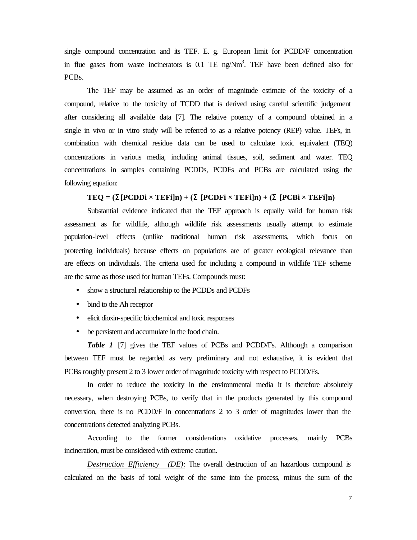single compound concentration and its TEF. E. g. European limit for PCDD/F concentration in flue gases from waste incinerators is  $0.1$  TE ng/Nm<sup>3</sup>. TEF have been defined also for PCBs.

The TEF may be assumed as an order of magnitude estimate of the toxicity of a compound, relative to the toxic ity of TCDD that is derived using careful scientific judgement after considering all available data [7]. The relative potency of a compound obtained in a single in vivo or in vitro study will be referred to as a relative potency (REP) value. TEFs, in combination with chemical residue data can be used to calculate toxic equivalent (TEQ) concentrations in various media, including animal tissues, soil, sediment and water. TEQ concentrations in samples containing PCDDs, PCDFs and PCBs are calculated using the following equation:

# $TEQ = (\mathbf{S}[PCDDi \times TEFi]n) + (\mathbf{S}[PCDFi \times TEFi]n) + (\mathbf{S}[PCBi \times TEFi]n)$

Substantial evidence indicated that the TEF approach is equally valid for human risk assessment as for wildlife, although wildlife risk assessments usually attempt to estimate population-level effects (unlike traditional human risk assessments, which focus on protecting individuals) because effects on populations are of greater ecological relevance than are effects on individuals. The criteria used for including a compound in wildlife TEF scheme are the same as those used for human TEFs. Compounds must:

- show a structural relationship to the PCDDs and PCDFs
- bind to the Ah receptor
- elicit dioxin-specific biochemical and toxic responses
- be persistent and accumulate in the food chain.

*Table 1* [7] gives the TEF values of PCBs and PCDD/Fs. Although a comparison between TEF must be regarded as very preliminary and not exhaustive, it is evident that PCBs roughly present 2 to 3 lower order of magnitude toxicity with respect to PCDD/Fs.

In order to reduce the toxicity in the environmental media it is therefore absolutely necessary, when destroying PCBs, to verify that in the products generated by this compound conversion, there is no PCDD/F in concentrations 2 to 3 order of magnitudes lower than the concentrations detected analyzing PCBs.

According to the former considerations oxidative processes, mainly PCBs incineration, must be considered with extreme caution.

*Destruction Efficiency (DE)*: The overall destruction of an hazardous compound is calculated on the basis of total weight of the same into the process, minus the sum of the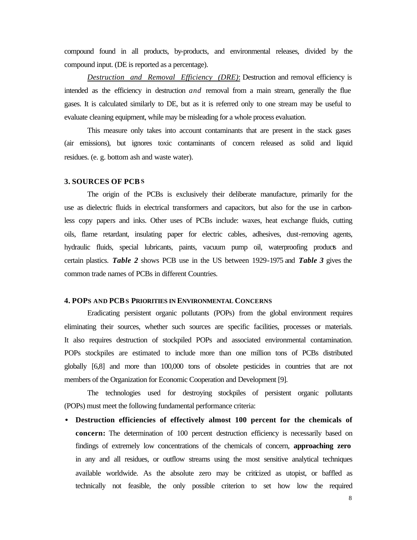compound found in all products, by-products, and environmental releases, divided by the compound input. (DE is reported as a percentage).

*Destruction and Removal Efficiency (DRE)*: Destruction and removal efficiency is intended as the efficiency in destruction *and* removal from a main stream, generally the flue gases. It is calculated similarly to DE, but as it is referred only to one stream may be useful to evaluate cleaning equipment, while may be misleading for a whole process evaluation.

This measure only takes into account contaminants that are present in the stack gases (air emissions), but ignores toxic contaminants of concern released as solid and liquid residues. (e. g. bottom ash and waste water).

#### **3. SOURCES OF PCBS**

The origin of the PCBs is exclusively their deliberate manufacture, primarily for the use as dielectric fluids in electrical transformers and capacitors, but also for the use in carbonless copy papers and inks. Other uses of PCBs include: waxes, heat exchange fluids, cutting oils, flame retardant, insulating paper for electric cables, adhesives, dust-removing agents, hydraulic fluids, special lubricants, paints, vacuum pump oil, waterproofing products and certain plastics. *Table 2* shows PCB use in the US between 1929-1975 and *Table 3* gives the common trade names of PCBs in different Countries.

#### **4. POPS AND PCBS PRIORITIES IN ENVIRONMENTAL CONCERNS**

Eradicating persistent organic pollutants (POPs) from the global environment requires eliminating their sources, whether such sources are specific facilities, processes or materials. It also requires destruction of stockpiled POPs and associated environmental contamination. POPs stockpiles are estimated to include more than one million tons of PCBs distributed globally [6,8] and more than 100,000 tons of obsolete pesticides in countries that are not members of the Organization for Economic Cooperation and Development [9].

The technologies used for destroying stockpiles of persistent organic pollutants (POPs) must meet the following fundamental performance criteria:

• **Destruction efficiencies of effectively almost 100 percent for the chemicals of concern:** The determination of 100 percent destruction efficiency is necessarily based on findings of extremely low concentrations of the chemicals of concern, **approaching zero** in any and all residues, or outflow streams using the most sensitive analytical techniques available worldwide. As the absolute zero may be criticized as utopist, or baffled as technically not feasible, the only possible criterion to set how low the required

8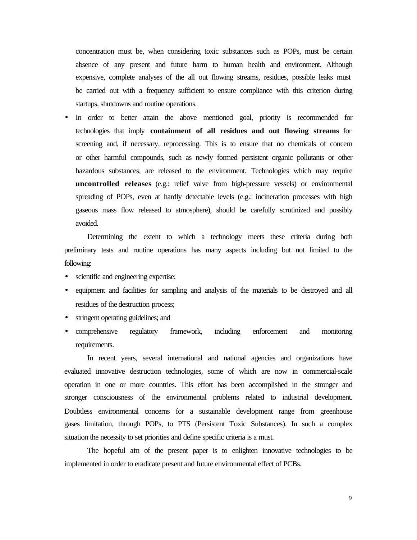concentration must be, when considering toxic substances such as POPs, must be certain absence of any present and future harm to human health and environment. Although expensive, complete analyses of the all out flowing streams, residues, possible leaks must be carried out with a frequency sufficient to ensure compliance with this criterion during startups, shutdowns and routine operations.

In order to better attain the above mentioned goal, priority is recommended for technologies that imply **containment of all residues and out flowing streams** for screening and, if necessary, reprocessing. This is to ensure that no chemicals of concern or other harmful compounds, such as newly formed persistent organic pollutants or other hazardous substances, are released to the environment. Technologies which may require **uncontrolled releases** (e.g.: relief valve from high-pressure vessels) or environmental spreading of POPs, even at hardly detectable levels (e.g.: incineration processes with high gaseous mass flow released to atmosphere), should be carefully scrutinized and possibly avoided.

Determining the extent to which a technology meets these criteria during both preliminary tests and routine operations has many aspects including but not limited to the following:

- scientific and engineering expertise;
- equipment and facilities for sampling and analysis of the materials to be destroyed and all residues of the destruction process;
- stringent operating guidelines; and
- comprehensive regulatory framework, including enforcement and monitoring requirements.

In recent years, several international and national agencies and organizations have evaluated innovative destruction technologies, some of which are now in commercial-scale operation in one or more countries. This effort has been accomplished in the stronger and stronger consciousness of the environmental problems related to industrial development. Doubtless environmental concerns for a sustainable development range from greenhouse gases limitation, through POPs, to PTS (Persistent Toxic Substances). In such a complex situation the necessity to set priorities and define specific criteria is a must.

The hopeful aim of the present paper is to enlighten innovative technologies to be implemented in order to eradicate present and future environmental effect of PCBs.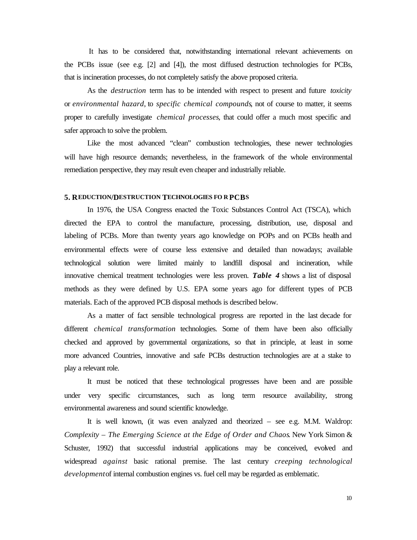It has to be considered that, notwithstanding international relevant achievements on the PCBs issue (see e.g.  $[2]$  and  $[4]$ ), the most diffused destruction technologies for PCBs, that is incineration processes, do not completely satisfy the above proposed criteria.

As the *destruction* term has to be intended with respect to present and future *toxicity* or *environmental hazard*, to *specific chemical compounds*, not of course to matter, it seems proper to carefully investigate *chemical processes*, that could offer a much most specific and safer approach to solve the problem.

Like the most advanced "clean" combustion technologies, these newer technologies will have high resource demands; nevertheless, in the framework of the whole environmental remediation perspective, they may result even cheaper and industrially reliable.

## **5. REDUCTION/DESTRUCTION TECHNOLOGIES FO R PCBS**

In 1976, the USA Congress enacted the Toxic Substances Control Act (TSCA), which directed the EPA to control the manufacture, processing, distribution, use, disposal and labeling of PCBs. More than twenty years ago knowledge on POPs and on PCBs health and environmental effects were of course less extensive and detailed than nowadays; available technological solution were limited mainly to landfill disposal and incineration, while innovative chemical treatment technologies were less proven. *Table 4* shows a list of disposal methods as they were defined by U.S. EPA some years ago for different types of PCB materials. Each of the approved PCB disposal methods is described below.

As a matter of fact sensible technological progress are reported in the last decade for different *chemical transformation* technologies. Some of them have been also officially checked and approved by governmental organizations, so that in principle, at least in some more advanced Countries, innovative and safe PCBs destruction technologies are at a stake to play a relevant role.

It must be noticed that these technological progresses have been and are possible under very specific circumstances, such as long term resource availability, strong environmental awareness and sound scientific knowledge.

It is well known, (it was even analyzed and theorized – see e.g. M.M. Waldrop: *Complexity – The Emerging Science at the Edge of Order and Chaos*. New York Simon & Schuster, 1992) that successful industrial applications may be conceived, evolved and widespread *against* basic rational premise. The last century *creeping technological development* of internal combustion engines vs. fuel cell may be regarded as emblematic.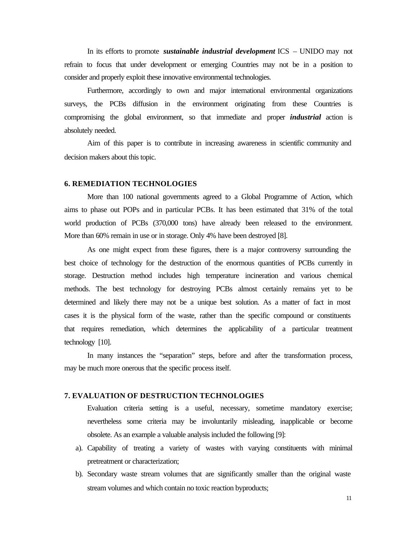In its efforts to promote *sustainable industrial development* ICS – UNIDO may not refrain to focus that under development or emerging Countries may not be in a position to consider and properly exploit these innovative environmental technologies.

Furthermore, accordingly to own and major international environmental organizations surveys, the PCBs diffusion in the environment originating from these Countries is compromising the global environment, so that immediate and proper *industrial* action is absolutely needed.

Aim of this paper is to contribute in increasing awareness in scientific community and decision makers about this topic.

## **6. REMEDIATION TECHNOLOGIES**

More than 100 national governments agreed to a Global Programme of Action, which aims to phase out POPs and in particular PCBs. It has been estimated that 31% of the total world production of PCBs (370,000 tons) have already been released to the environment. More than 60% remain in use or in storage. Only 4% have been destroyed [8].

As one might expect from these figures, there is a major controversy surrounding the best choice of technology for the destruction of the enormous quantities of PCBs currently in storage. Destruction method includes high temperature incineration and various chemical methods. The best technology for destroying PCBs almost certainly remains yet to be determined and likely there may not be a unique best solution. As a matter of fact in most cases it is the physical form of the waste, rather than the specific compound or constituents that requires remediation, which determines the applicability of a particular treatment technology [10].

In many instances the "separation" steps, before and after the transformation process, may be much more onerous that the specific process itself.

# **7. EVALUATION OF DESTRUCTION TECHNOLOGIES**

Evaluation criteria setting is a useful, necessary, sometime mandatory exercise; nevertheless some criteria may be involuntarily misleading, inapplicable or become obsolete. As an example a valuable analysis included the following [9]:

- a). Capability of treating a variety of wastes with varying constituents with minimal pretreatment or characterization;
- b). Secondary waste stream volumes that are significantly smaller than the original waste stream volumes and which contain no toxic reaction byproducts;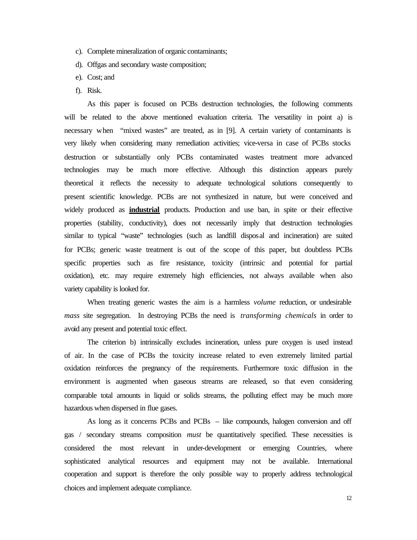- c). Complete mineralization of organic contaminants;
- d). Offgas and secondary waste composition;
- e). Cost; and
- f). Risk.

As this paper is focused on PCBs destruction technologies, the following comments will be related to the above mentioned evaluation criteria. The versatility in point a) is necessary when "mixed wastes" are treated, as in [9]. A certain variety of contaminants is very likely when considering many remediation activities; vice-versa in case of PCBs stocks destruction or substantially only PCBs contaminated wastes treatment more advanced technologies may be much more effective. Although this distinction appears purely theoretical it reflects the necessity to adequate technological solutions consequently to present scientific knowledge. PCBs are not synthesized in nature, but were conceived and widely produced as **industrial** products. Production and use ban, in spite or their effective properties (stability, conductivity), does not necessarily imply that destruction technologies similar to typical "waste" technologies (such as landfill disposal and incineration) are suited for PCBs; generic waste treatment is out of the scope of this paper, but doubtless PCBs specific properties such as fire resistance, toxicity (intrinsic and potential for partial oxidation), etc. may require extremely high efficiencies, not always available when also variety capability is looked for.

When treating generic wastes the aim is a harmless *volume* reduction, or undesirable *mass* site segregation. In destroying PCBs the need is *transforming chemicals* in order to avoid any present and potential toxic effect.

The criterion b) intrinsically excludes incineration, unless pure oxygen is used instead of air. In the case of PCBs the toxicity increase related to even extremely limited partial oxidation reinforces the pregnancy of the requirements. Furthermore toxic diffusion in the environment is augmented when gaseous streams are released, so that even considering comparable total amounts in liquid or solids streams, the polluting effect may be much more hazardous when dispersed in flue gases.

As long as it concerns PCBs and PCBs – like compounds, halogen conversion and off gas / secondary streams composition *must* be quantitatively specified. These necessities is considered the most relevant in under-development or emerging Countries, where sophisticated analytical resources and equipment may not be available. International cooperation and support is therefore the only possible way to properly address technological choices and implement adequate compliance.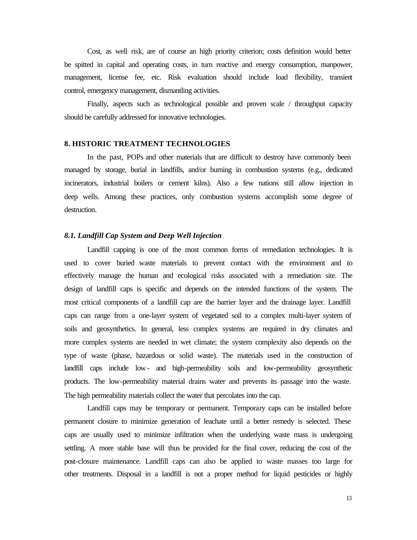Cost, as well risk, are of course an high priority criterion; costs definition would better be spitted in capital and operating costs, in turn reactive and energy consumption, manpower, management, license fee, etc. Risk evaluation should include load flexibility, transient control, emergency management, dismantling activities.

Finally, aspects such as technological possible and proven scale / throughput capacity should be carefully addressed for innovative technologies.

#### **8. HISTORIC TREATMENT TECHNOLOGIES**

In the past, POPs and other materials that are difficult to destroy have commonly been managed by storage, burial in landfills, and/or burning in combustion systems (e.g., dedicated incinerators, industrial boilers or cement kilns). Also a few nations still allow injection in deep wells. Among these practices, only combustion systems accomplish some degree of destruction.

# *8.1. Landfill Cap System and Deep Well Injection*

Landfill capping is one of the most common forms of remediation technologies. It is used to cover buried waste materials to prevent contact with the environment and to effectively manage the human and ecological risks associated with a remediation site. The design of landfill caps is specific and depends on the intended functions of the system. The most critical components of a landfill cap are the barrier layer and the drainage layer. Landfill caps can range from a one-layer system of vegetated soil to a complex multi-layer system of soils and geosynthetics. In general, less complex systems are required in dry climates and more complex systems are needed in wet climate; the system complexity also depends on the type of waste (phase, hazardous or solid waste). The materials used in the construction of landfill caps include low- and high-permeability soils and low-permeability geosynthetic products. The low-permeability material drains water and prevents its passage into the waste. The high permeability materials collect the water that percolates into the cap.

Landfill caps may be temporary or permanent. Temporary caps can be installed before permanent closure to minimize generation of leachate until a better remedy is selected. These caps are usually used to minimize infiltration when the underlying waste mass is undergoing settling. A more stable base will thus be provided for the final cover, reducing the cost of the post-closure maintenance. Landfill caps can also be applied to waste masses too large for other treatments. Disposal in a landfill is not a proper method for liquid pesticides or highly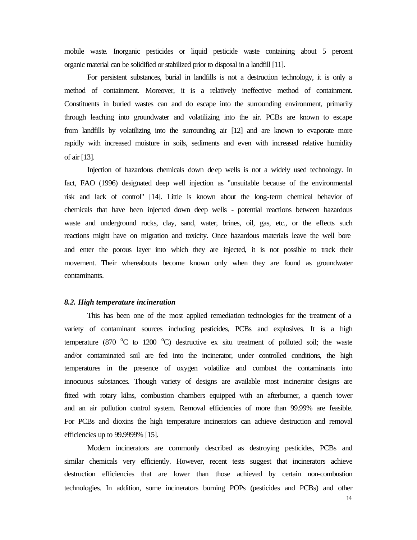mobile waste. Inorganic pesticides or liquid pesticide waste containing about 5 percent organic material can be solidified or stabilized prior to disposal in a landfill [11].

For persistent substances, burial in landfills is not a destruction technology, it is only a method of containment. Moreover, it is a relatively ineffective method of containment. Constituents in buried wastes can and do escape into the surrounding environment, primarily through leaching into groundwater and volatilizing into the air. PCBs are known to escape from landfills by volatilizing into the surrounding air [12] and are known to evaporate more rapidly with increased moisture in soils, sediments and even with increased relative humidity of air [13].

Injection of hazardous chemicals down deep wells is not a widely used technology. In fact, FAO (1996) designated deep well injection as "unsuitable because of the environmental risk and lack of control" [14]. Little is known about the long-term chemical behavior of chemicals that have been injected down deep wells - potential reactions between hazardous waste and underground rocks, clay, sand, water, brines, oil, gas, etc., or the effects such reactions might have on migration and toxicity. Once hazardous materials leave the well bore and enter the porous layer into which they are injected, it is not possible to track their movement. Their whereabouts become known only when they are found as groundwater contaminants.

#### *8.2. High temperature incineration*

This has been one of the most applied remediation technologies for the treatment of a variety of contaminant sources including pesticides, PCBs and explosives. It is a high temperature (870  $\degree$ C to 1200  $\degree$ C) destructive ex situ treatment of polluted soil; the waste and/or contaminated soil are fed into the incinerator, under controlled conditions, the high temperatures in the presence of oxygen volatilize and combust the contaminants into innocuous substances. Though variety of designs are available most incinerator designs are fitted with rotary kilns, combustion chambers equipped with an afterburner, a quench tower and an air pollution control system. Removal efficiencies of more than 99.99% are feasible. For PCBs and dioxins the high temperature incinerators can achieve destruction and removal efficiencies up to 99.9999% [15].

Modern incinerators are commonly described as destroying pesticides, PCBs and similar chemicals very efficiently. However, recent tests suggest that incinerators achieve destruction efficiencies that are lower than those achieved by certain non-combustion technologies. In addition, some incinerators burning POPs (pesticides and PCBs) and other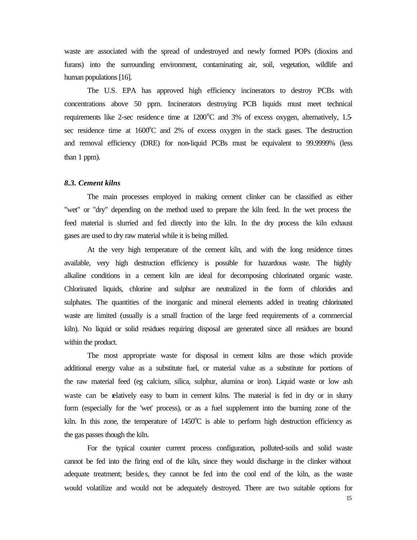waste are associated with the spread of undestroyed and newly formed POPs (dioxins and furans) into the surrounding environment, contaminating air, soil, vegetation, wildlife and human populations [16].

The U.S. EPA has approved high efficiency incinerators to destroy PCBs with concentrations above 50 ppm. Incinerators destroying PCB liquids must meet technical requirements like 2-sec residence time at  $1200^{\circ}$ C and 3% of excess oxygen, alternatively, 1.5sec residence time at  $1600^{\circ}$ C and 2% of excess oxygen in the stack gases. The destruction and removal efficiency (DRE) for non-liquid PCBs must be equivalent to 99.9999% (less than 1 ppm).

#### *8.3. Cement kilns*

The main processes employed in making cement clinker can be classified as either "wet" or "dry" depending on the method used to prepare the kiln feed. In the wet process the feed material is slurried and fed directly into the kiln. In the dry process the kiln exhaust gases are used to dry raw material while it is being milled.

At the very high temperature of the cement kiln, and with the long residence times available, very high destruction efficiency is possible for hazardous waste. The highly alkaline conditions in a cement kiln are ideal for decomposing chlorinated organic waste. Chlorinated liquids, chlorine and sulphur are neutralized in the form of chlorides and sulphates. The quantities of the inorganic and mineral elements added in treating chlorinated waste are limited (usually is a small fraction of the large feed requirements of a commercial kiln). No liquid or solid residues requiring disposal are generated since all residues are bound within the product.

The most appropriate waste for disposal in cement kilns are those which provide additional energy value as a substitute fuel, or material value as a substitute for portions of the raw material feed (eg calcium, silica, sulphur, alumina or iron). Liquid waste or low ash waste can be relatively easy to burn in cement kilns. The material is fed in dry or in slurry form (especially for the 'wet' process), or as a fuel supplement into the burning zone of the kiln. In this zone, the temperature of  $1450^{\circ}\text{C}$  is able to perform high destruction efficiency as the gas passes though the kiln.

For the typical counter current process configuration, polluted-soils and solid waste cannot be fed into the firing end of the kiln, since they would discharge in the clinker without adequate treatment; besides, they cannot be fed into the cool end of the kiln, as the waste would volatilize and would not be adequately destroyed. There are two suitable options for

15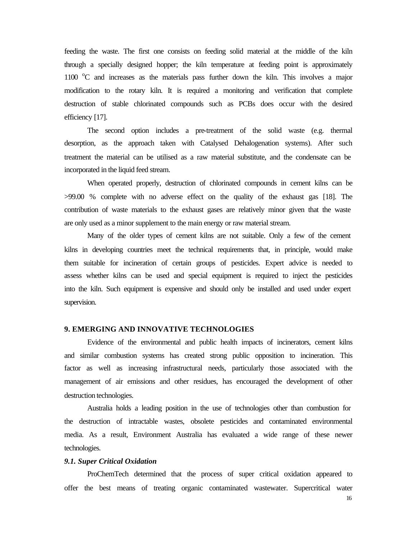feeding the waste. The first one consists on feeding solid material at the middle of the kiln through a specially designed hopper; the kiln temperature at feeding point is approximately 1100  $\degree$ C and increases as the materials pass further down the kiln. This involves a major modification to the rotary kiln. It is required a monitoring and verification that complete destruction of stable chlorinated compounds such as PCBs does occur with the desired efficiency [17].

The second option includes a pre-treatment of the solid waste (e.g. thermal desorption, as the approach taken with Catalysed Dehalogenation systems). After such treatment the material can be utilised as a raw material substitute, and the condensate can be incorporated in the liquid feed stream.

When operated properly, destruction of chlorinated compounds in cement kilns can be >99.00 % complete with no adverse effect on the quality of the exhaust gas [18]. The contribution of waste materials to the exhaust gases are relatively minor given that the waste are only used as a minor supplement to the main energy or raw material stream.

Many of the older types of cement kilns are not suitable. Only a few of the cement kilns in developing countries meet the technical requirements that, in principle, would make them suitable for incineration of certain groups of pesticides. Expert advice is needed to assess whether kilns can be used and special equipment is required to inject the pesticides into the kiln. Such equipment is expensive and should only be installed and used under expert supervision.

#### **9. EMERGING AND INNOVATIVE TECHNOLOGIES**

Evidence of the environmental and public health impacts of incinerators, cement kilns and similar combustion systems has created strong public opposition to incineration. This factor as well as increasing infrastructural needs, particularly those associated with the management of air emissions and other residues, has encouraged the development of other destruction technologies.

Australia holds a leading position in the use of technologies other than combustion for the destruction of intractable wastes, obsolete pesticides and contaminated environmental media. As a result, Environment Australia has evaluated a wide range of these newer technologies.

#### *9.1. Super Critical Oxidation*

ProChemTech determined that the process of super critical oxidation appeared to offer the best means of treating organic contaminated wastewater. Supercritical water

16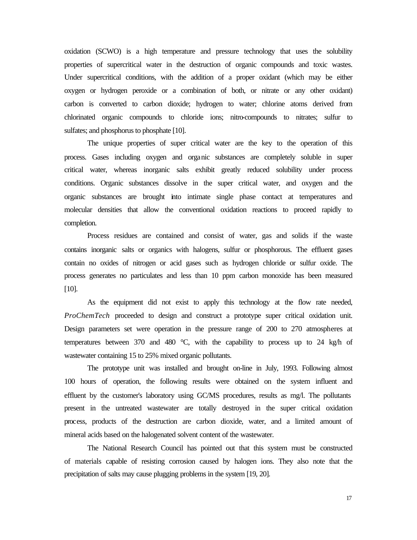oxidation (SCWO) is a high temperature and pressure technology that uses the solubility properties of supercritical water in the destruction of organic compounds and toxic wastes. Under supercritical conditions, with the addition of a proper oxidant (which may be either oxygen or hydrogen peroxide or a combination of both, or nitrate or any other oxidant) carbon is converted to carbon dioxide; hydrogen to water; chlorine atoms derived from chlorinated organic compounds to chloride ions; nitro-compounds to nitrates; sulfur to sulfates; and phosphorus to phosphate [10].

The unique properties of super critical water are the key to the operation of this process. Gases including oxygen and organic substances are completely soluble in super critical water, whereas inorganic salts exhibit greatly reduced solubility under process conditions. Organic substances dissolve in the super critical water, and oxygen and the organic substances are brought into intimate single phase contact at temperatures and molecular densities that allow the conventional oxidation reactions to proceed rapidly to completion.

Process residues are contained and consist of water, gas and solids if the waste contains inorganic salts or organics with halogens, sulfur or phosphorous. The effluent gases contain no oxides of nitrogen or acid gases such as hydrogen chloride or sulfur oxide. The process generates no particulates and less than 10 ppm carbon monoxide has been measured [10].

As the equipment did not exist to apply this technology at the flow rate needed, *ProChemTech* proceeded to design and construct a prototype super critical oxidation unit. Design parameters set were operation in the pressure range of 200 to 270 atmospheres at temperatures between 370 and 480  $^{\circ}$ C, with the capability to process up to 24 kg/h of wastewater containing 15 to 25% mixed organic pollutants.

The prototype unit was installed and brought on-line in July, 1993. Following almost 100 hours of operation, the following results were obtained on the system influent and effluent by the customer's laboratory using GC/MS procedures, results as mg/l. The pollutants present in the untreated wastewater are totally destroyed in the super critical oxidation process, products of the destruction are carbon dioxide, water, and a limited amount of mineral acids based on the halogenated solvent content of the wastewater.

The National Research Council has pointed out that this system must be constructed of materials capable of resisting corrosion caused by halogen ions. They also note that the precipitation of salts may cause plugging problems in the system [19, 20].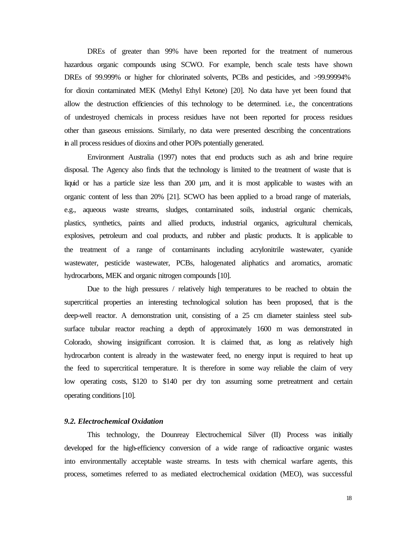DREs of greater than 99% have been reported for the treatment of numerous hazardous organic compounds using SCWO. For example, bench scale tests have shown DREs of 99.999% or higher for chlorinated solvents, PCBs and pesticides, and >99.99994% for dioxin contaminated MEK (Methyl Ethyl Ketone) [20]. No data have yet been found that allow the destruction efficiencies of this technology to be determined. i.e., the concentrations of undestroyed chemicals in process residues have not been reported for process residues other than gaseous emissions. Similarly, no data were presented describing the concentrations in all process residues of dioxins and other POPs potentially generated.

Environment Australia (1997) notes that end products such as ash and brine require disposal. The Agency also finds that the technology is limited to the treatment of waste that is liquid or has a particle size less than 200 µm, and it is most applicable to wastes with an organic content of less than 20% [21]. SCWO has been applied to a broad range of materials, e.g., aqueous waste streams, sludges, contaminated soils, industrial organic chemicals, plastics, synthetics, paints and allied products, industrial organics, agricultural chemicals, explosives, petroleum and coal products, and rubber and plastic products. It is applicable to the treatment of a range of contaminants including acrylonitrile wastewater, cyanide wastewater, pesticide wastewater, PCBs, halogenated aliphatics and aromatics, aromatic hydrocarbons, MEK and organic nitrogen compounds [10].

Due to the high pressures / relatively high temperatures to be reached to obtain the supercritical properties an interesting technological solution has been proposed, that is the deep-well reactor. A demonstration unit, consisting of a 25 cm diameter stainless steel subsurface tubular reactor reaching a depth of approximately 1600 m was demonstrated in Colorado, showing insignificant corrosion. It is claimed that, as long as relatively high hydrocarbon content is already in the wastewater feed, no energy input is required to heat up the feed to supercritical temperature. It is therefore in some way reliable the claim of very low operating costs, \$120 to \$140 per dry ton assuming some pretreatment and certain operating conditions [10].

# *9.2. Electrochemical Oxidation*

This technology, the Dounreay Electrochemical Silver (II) Process was initially developed for the high-efficiency conversion of a wide range of radioactive organic wastes into environmentally acceptable waste streams. In tests with chemical warfare agents, this process, sometimes referred to as mediated electrochemical oxidation (MEO), was successful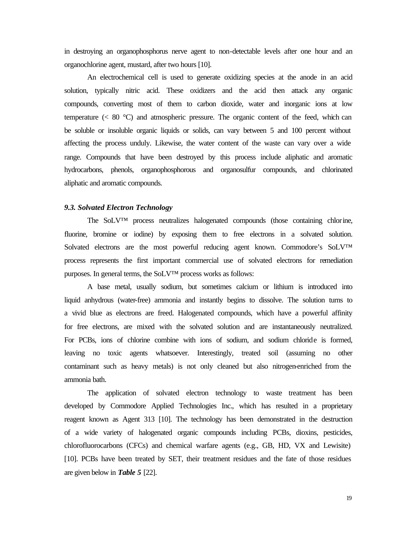in destroying an organophosphorus nerve agent to non-detectable levels after one hour and an organochlorine agent, mustard, after two hours [10].

An electrochemical cell is used to generate oxidizing species at the anode in an acid solution, typically nitric acid. These oxidizers and the acid then attack any organic compounds, converting most of them to carbon dioxide, water and inorganic ions at low temperature  $(< 80 \degree C)$  and atmospheric pressure. The organic content of the feed, which can be soluble or insoluble organic liquids or solids, can vary between 5 and 100 percent without affecting the process unduly. Likewise, the water content of the waste can vary over a wide range. Compounds that have been destroyed by this process include aliphatic and aromatic hydrocarbons, phenols, organophosphorous and organosulfur compounds, and chlorinated aliphatic and aromatic compounds.

#### *9.3. Solvated Electron Technology*

The SoLV™ process neutralizes halogenated compounds (those containing chlorine, fluorine, bromine or iodine) by exposing them to free electrons in a solvated solution. Solvated electrons are the most powerful reducing agent known. Commodore's SoLV™ process represents the first important commercial use of solvated electrons for remediation purposes. In general terms, the SoLV™ process works as follows:

A base metal, usually sodium, but sometimes calcium or lithium is introduced into liquid anhydrous (water-free) ammonia and instantly begins to dissolve. The solution turns to a vivid blue as electrons are freed. Halogenated compounds, which have a powerful affinity for free electrons, are mixed with the solvated solution and are instantaneously neutralized. For PCBs, ions of chlorine combine with ions of sodium, and sodium chloride is formed, leaving no toxic agents whatsoever. Interestingly, treated soil (assuming no other contaminant such as heavy metals) is not only cleaned but also nitrogen-enriched from the ammonia bath.

The application of solvated electron technology to waste treatment has been developed by Commodore Applied Technologies Inc., which has resulted in a proprietary reagent known as Agent 313 [10]. The technology has been demonstrated in the destruction of a wide variety of halogenated organic compounds including PCBs, dioxins, pesticides, chlorofluorocarbons (CFCs) and chemical warfare agents (e.g., GB, HD, VX and Lewisite) [10]. PCBs have been treated by SET, their treatment residues and the fate of those residues are given below in *Table 5* [22].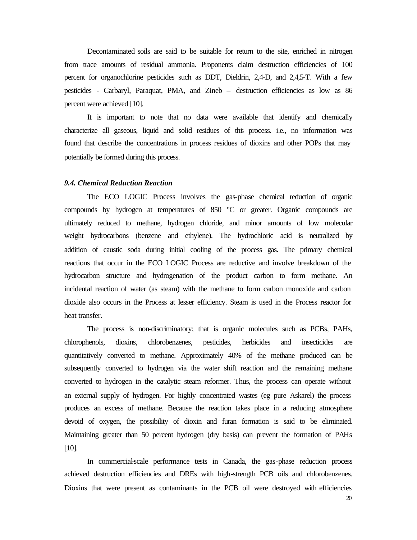Decontaminated soils are said to be suitable for return to the site, enriched in nitrogen from trace amounts of residual ammonia. Proponents claim destruction efficiencies of 100 percent for organochlorine pesticides such as DDT, Dieldrin, 2,4-D, and 2,4,5-T. With a few pesticides - Carbaryl, Paraquat, PMA, and Zineb – destruction efficiencies as low as 86 percent were achieved [10].

It is important to note that no data were available that identify and chemically characterize all gaseous, liquid and solid residues of this process. i.e., no information was found that describe the concentrations in process residues of dioxins and other POPs that may potentially be formed during this process.

## *9.4. Chemical Reduction Reaction*

The ECO LOGIC Process involves the gas-phase chemical reduction of organic compounds by hydrogen at temperatures of 850 °C or greater. Organic compounds are ultimately reduced to methane, hydrogen chloride, and minor amounts of low molecular weight hydrocarbons (benzene and ethylene). The hydrochloric acid is neutralized by addition of caustic soda during initial cooling of the process gas. The primary chemical reactions that occur in the ECO LOGIC Process are reductive and involve breakdown of the hydrocarbon structure and hydrogenation of the product carbon to form methane. An incidental reaction of water (as steam) with the methane to form carbon monoxide and carbon dioxide also occurs in the Process at lesser efficiency. Steam is used in the Process reactor for heat transfer.

The process is non-discriminatory; that is organic molecules such as PCBs, PAHs, chlorophenols, dioxins, chlorobenzenes, pesticides, herbicides and insecticides are quantitatively converted to methane. Approximately 40% of the methane produced can be subsequently converted to hydrogen via the water shift reaction and the remaining methane converted to hydrogen in the catalytic steam reformer. Thus, the process can operate without an external supply of hydrogen. For highly concentrated wastes (eg pure Askarel) the process produces an excess of methane. Because the reaction takes place in a reducing atmosphere devoid of oxygen, the possibility of dioxin and furan formation is said to be eliminated. Maintaining greater than 50 percent hydrogen (dry basis) can prevent the formation of PAHs [10].

In commercial-scale performance tests in Canada, the gas-phase reduction process achieved destruction efficiencies and DREs with high-strength PCB oils and chlorobenzenes. Dioxins that were present as contaminants in the PCB oil were destroyed with efficiencies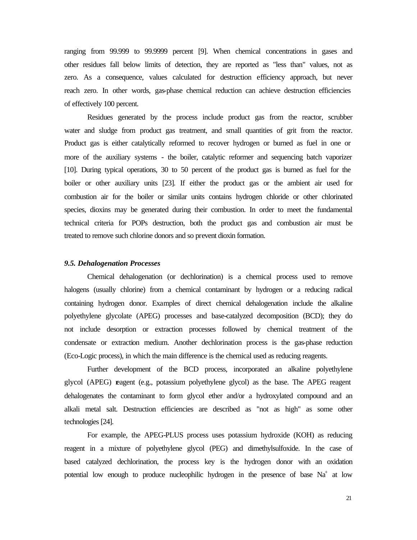ranging from 99.999 to 99.9999 percent [9]. When chemical concentrations in gases and other residues fall below limits of detection, they are reported as "less than" values, not as zero. As a consequence, values calculated for destruction efficiency approach, but never reach zero. In other words, gas-phase chemical reduction can achieve destruction efficiencies of effectively 100 percent.

Residues generated by the process include product gas from the reactor, scrubber water and sludge from product gas treatment, and small quantities of grit from the reactor. Product gas is either catalytically reformed to recover hydrogen or burned as fuel in one or more of the auxiliary systems - the boiler, catalytic reformer and sequencing batch vaporizer [10]. During typical operations, 30 to 50 percent of the product gas is burned as fuel for the boiler or other auxiliary units [23]. If either the product gas or the ambient air used for combustion air for the boiler or similar units contains hydrogen chloride or other chlorinated species, dioxins may be generated during their combustion. In order to meet the fundamental technical criteria for POPs destruction, both the product gas and combustion air must be treated to remove such chlorine donors and so prevent dioxin formation.

## *9.5. Dehalogenation Processes*

Chemical dehalogenation (or dechlorination) is a chemical process used to remove halogens (usually chlorine) from a chemical contaminant by hydrogen or a reducing radical containing hydrogen donor. Examples of direct chemical dehalogenation include the alkaline polyethylene glycolate (APEG) processes and base-catalyzed decomposition (BCD); they do not include desorption or extraction processes followed by chemical treatment of the condensate or extraction medium. Another dechlorination process is the gas-phase reduction (Eco-Logic process), in which the main difference is the chemical used as reducing reagents.

Further development of the BCD process, incorporated an alkaline polyethylene glycol (APEG) reagent (e.g., potassium polyethylene glycol) as the base. The APEG reagent dehalogenates the contaminant to form glycol ether and/or a hydroxylated compound and an alkali metal salt. Destruction efficiencies are described as "not as high" as some other technologies [24].

For example, the APEG-PLUS process uses potassium hydroxide (KOH) as reducing reagent in a mixture of polyethylene glycol (PEG) and dimethylsulfoxide. In the case of based catalyzed dechlorination, the process key is the hydrogen donor with an oxidation potential low enough to produce nucleophilic hydrogen in the presence of base  $Na<sup>+</sup>$  at low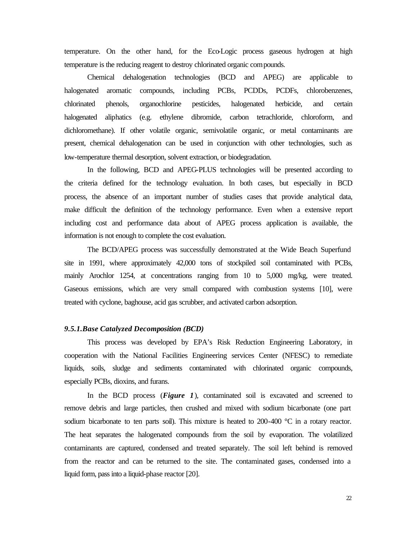temperature. On the other hand, for the Eco-Logic process gaseous hydrogen at high temperature is the reducing reagent to destroy chlorinated organic compounds.

Chemical dehalogenation technologies (BCD and APEG) are applicable to halogenated aromatic compounds, including PCBs, PCDDs, PCDFs, chlorobenzenes, chlorinated phenols, organochlorine pesticides, halogenated herbicide, and certain halogenated aliphatics (e.g. ethylene dibromide, carbon tetrachloride, chloroform, and dichloromethane). If other volatile organic, semivolatile organic, or metal contaminants are present, chemical dehalogenation can be used in conjunction with other technologies, such as low-temperature thermal desorption, solvent extraction, or biodegradation.

In the following, BCD and APEG-PLUS technologies will be presented according to the criteria defined for the technology evaluation. In both cases, but especially in BCD process, the absence of an important number of studies cases that provide analytical data, make difficult the definition of the technology performance. Even when a extensive report including cost and performance data about of APEG process application is available, the information is not enough to complete the cost evaluation.

The BCD/APEG process was successfully demonstrated at the Wide Beach Superfund site in 1991, where approximately 42,000 tons of stockpiled soil contaminated with PCBs, mainly Arochlor 1254, at concentrations ranging from 10 to 5,000 mg/kg, were treated. Gaseous emissions, which are very small compared with combustion systems [10], were treated with cyclone, baghouse, acid gas scrubber, and activated carbon adsorption.

## *9.5.1.Base Catalyzed Decomposition (BCD)*

This process was developed by EPA's Risk Reduction Engineering Laboratory, in cooperation with the National Facilities Engineering services Center (NFESC) to remediate liquids, soils, sludge and sediments contaminated with chlorinated organic compounds, especially PCBs, dioxins, and furans.

In the BCD process (*Figure 1*), contaminated soil is excavated and screened to remove debris and large particles, then crushed and mixed with sodium bicarbonate (one part sodium bicarbonate to ten parts soil). This mixture is heated to  $200-400$  °C in a rotary reactor. The heat separates the halogenated compounds from the soil by evaporation. The volatilized contaminants are captured, condensed and treated separately. The soil left behind is removed from the reactor and can be returned to the site. The contaminated gases, condensed into a liquid form, pass into a liquid-phase reactor [20].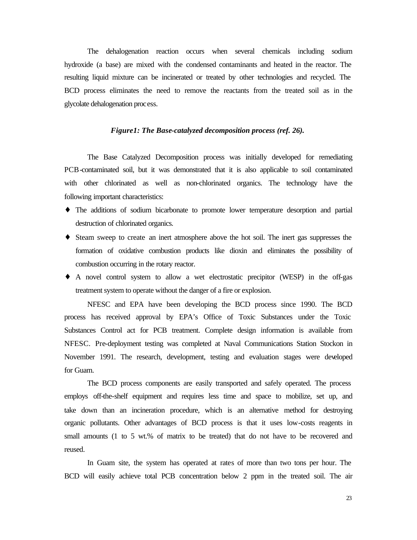The dehalogenation reaction occurs when several chemicals including sodium hydroxide (a base) are mixed with the condensed contaminants and heated in the reactor. The resulting liquid mixture can be incinerated or treated by other technologies and recycled. The BCD process eliminates the need to remove the reactants from the treated soil as in the glycolate dehalogenation process.

## *Figure1: The Base-catalyzed decomposition process (ref. 26).*

The Base Catalyzed Decomposition process was initially developed for remediating PCB-contaminated soil, but it was demonstrated that it is also applicable to soil contaminated with other chlorinated as well as non-chlorinated organics. The technology have the following important characteristics:

- ♦ The additions of sodium bicarbonate to promote lower temperature desorption and partial destruction of chlorinated organics.
- ♦ Steam sweep to create an inert atmosphere above the hot soil. The inert gas suppresses the formation of oxidative combustion products like dioxin and eliminates the possibility of combustion occurring in the rotary reactor.
- ♦ A novel control system to allow a wet electrostatic precipitor (WESP) in the off-gas treatment system to operate without the danger of a fire or explosion.

NFESC and EPA have been developing the BCD process since 1990. The BCD process has received approval by EPA's Office of Toxic Substances under the Toxic Substances Control act for PCB treatment. Complete design information is available from NFESC. Pre-deployment testing was completed at Naval Communications Station Stockon in November 1991. The research, development, testing and evaluation stages were developed for Guam.

The BCD process components are easily transported and safely operated. The process employs off-the-shelf equipment and requires less time and space to mobilize, set up, and take down than an incineration procedure, which is an alternative method for destroying organic pollutants. Other advantages of BCD process is that it uses low-costs reagents in small amounts (1 to 5 wt.% of matrix to be treated) that do not have to be recovered and reused.

In Guam site, the system has operated at rates of more than two tons per hour. The BCD will easily achieve total PCB concentration below 2 ppm in the treated soil. The air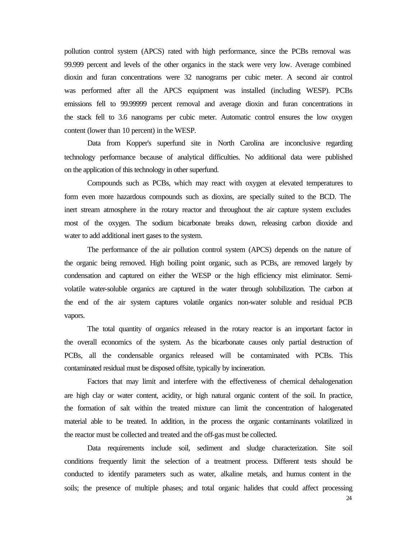pollution control system (APCS) rated with high performance, since the PCBs removal was 99.999 percent and levels of the other organics in the stack were very low. Average combined dioxin and furan concentrations were 32 nanograms per cubic meter. A second air control was performed after all the APCS equipment was installed (including WESP). PCBs emissions fell to 99.99999 percent removal and average dioxin and furan concentrations in the stack fell to 3.6 nanograms per cubic meter. Automatic control ensures the low oxygen content (lower than 10 percent) in the WESP.

Data from Kopper's superfund site in North Carolina are inconclusive regarding technology performance because of analytical difficulties. No additional data were published on the application of this technology in other superfund.

Compounds such as PCBs, which may react with oxygen at elevated temperatures to form even more hazardous compounds such as dioxins, are specially suited to the BCD. The inert stream atmosphere in the rotary reactor and throughout the air capture system excludes most of the oxygen. The sodium bicarbonate breaks down, releasing carbon dioxide and water to add additional inert gases to the system.

The performance of the air pollution control system (APCS) depends on the nature of the organic being removed. High boiling point organic, such as PCBs, are removed largely by condensation and captured on either the WESP or the high efficiency mist eliminator. Semivolatile water-soluble organics are captured in the water through solubilization. The carbon at the end of the air system captures volatile organics non-water soluble and residual PCB vapors.

The total quantity of organics released in the rotary reactor is an important factor in the overall economics of the system. As the bicarbonate causes only partial destruction of PCBs, all the condensable organics released will be contaminated with PCBs. This contaminated residual must be disposed offsite, typically by incineration.

Factors that may limit and interfere with the effectiveness of chemical dehalogenation are high clay or water content, acidity, or high natural organic content of the soil. In practice, the formation of salt within the treated mixture can limit the concentration of halogenated material able to be treated. In addition, in the process the organic contaminants volatilized in the reactor must be collected and treated and the off-gas must be collected.

Data requirements include soil, sediment and sludge characterization. Site soil conditions frequently limit the selection of a treatment process. Different tests should be conducted to identify parameters such as water, alkaline metals, and humus content in the soils; the presence of multiple phases; and total organic halides that could affect processing

24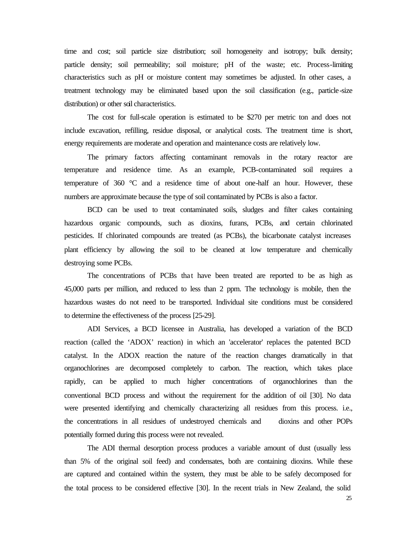time and cost; soil particle size distribution; soil homogeneity and isotropy; bulk density; particle density; soil permeability; soil moisture; pH of the waste; etc. Process-limiting characteristics such as pH or moisture content may sometimes be adjusted. In other cases, a treatment technology may be eliminated based upon the soil classification (e.g., particle-size distribution) or other soil characteristics.

The cost for full-scale operation is estimated to be \$270 per metric ton and does not include excavation, refilling, residue disposal, or analytical costs. The treatment time is short, energy requirements are moderate and operation and maintenance costs are relatively low.

The primary factors affecting contaminant removals in the rotary reactor are temperature and residence time. As an example, PCB-contaminated soil requires a temperature of 360 °C and a residence time of about one-half an hour. However, these numbers are approximate because the type of soil contaminated by PCBs is also a factor.

BCD can be used to treat contaminated soils, sludges and filter cakes containing hazardous organic compounds, such as dioxins, furans, PCBs, and certain chlorinated pesticides. If chlorinated compounds are treated (as PCBs), the bicarbonate catalyst increases plant efficiency by allowing the soil to be cleaned at low temperature and chemically destroying some PCBs.

The concentrations of PCBs that have been treated are reported to be as high as 45,000 parts per million, and reduced to less than 2 ppm. The technology is mobile, then the hazardous wastes do not need to be transported. Individual site conditions must be considered to determine the effectiveness of the process [25-29].

ADI Services, a BCD licensee in Australia, has developed a variation of the BCD reaction (called the 'ADOX' reaction) in which an 'accelerator' replaces the patented BCD catalyst. In the ADOX reaction the nature of the reaction changes dramatically in that organochlorines are decomposed completely to carbon. The reaction, which takes place rapidly, can be applied to much higher concentrations of organochlorines than the conventional BCD process and without the requirement for the addition of oil [30]. No data were presented identifying and chemically characterizing all residues from this process. i.e., the concentrations in all residues of undestroyed chemicals and dioxins and other POPs potentially formed during this process were not revealed.

The ADI thermal desorption process produces a variable amount of dust (usually less than 5% of the original soil feed) and condensates, both are containing dioxins. While these are captured and contained within the system, they must be able to be safely decomposed for the total process to be considered effective [30]. In the recent trials in New Zealand, the solid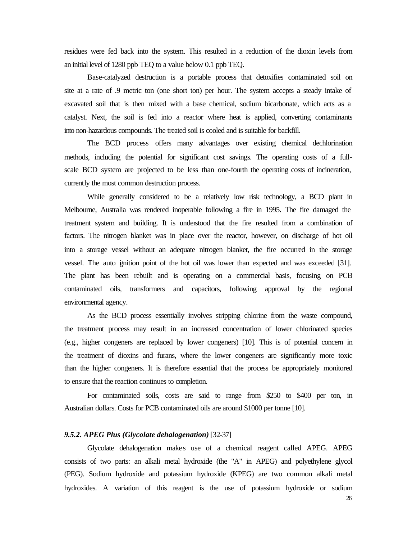residues were fed back into the system. This resulted in a reduction of the dioxin levels from an initial level of 1280 ppb TEQ to a value below 0.1 ppb TEQ.

Base-catalyzed destruction is a portable process that detoxifies contaminated soil on site at a rate of .9 metric ton (one short ton) per hour. The system accepts a steady intake of excavated soil that is then mixed with a base chemical, sodium bicarbonate, which acts as a catalyst. Next, the soil is fed into a reactor where heat is applied, converting contaminants into non-hazardous compounds. The treated soil is cooled and is suitable for backfill.

The BCD process offers many advantages over existing chemical dechlorination methods, including the potential for significant cost savings. The operating costs of a fullscale BCD system are projected to be less than one-fourth the operating costs of incineration, currently the most common destruction process.

While generally considered to be a relatively low risk technology, a BCD plant in Melbourne, Australia was rendered inoperable following a fire in 1995. The fire damaged the treatment system and building. It is understood that the fire resulted from a combination of factors. The nitrogen blanket was in place over the reactor, however, on discharge of hot oil into a storage vessel without an adequate nitrogen blanket, the fire occurred in the storage vessel. The auto ignition point of the hot oil was lower than expected and was exceeded [31]. The plant has been rebuilt and is operating on a commercial basis, focusing on PCB contaminated oils, transformers and capacitors, following approval by the regional environmental agency.

As the BCD process essentially involves stripping chlorine from the waste compound, the treatment process may result in an increased concentration of lower chlorinated species (e.g., higher congeners are replaced by lower congeners) [10]. This is of potential concern in the treatment of dioxins and furans, where the lower congeners are significantly more toxic than the higher congeners. It is therefore essential that the process be appropriately monitored to ensure that the reaction continues to completion.

For contaminated soils, costs are said to range from \$250 to \$400 per ton, in Australian dollars. Costs for PCB contaminated oils are around \$1000 per tonne [10].

#### *9.5.2. APEG Plus (Glycolate dehalogenation)* [32-37]

Glycolate dehalogenation makes use of a chemical reagent called APEG. APEG consists of two parts: an alkali metal hydroxide (the "A" in APEG) and polyethylene glycol (PEG). Sodium hydroxide and potassium hydroxide (KPEG) are two common alkali metal hydroxides. A variation of this reagent is the use of potassium hydroxide or sodium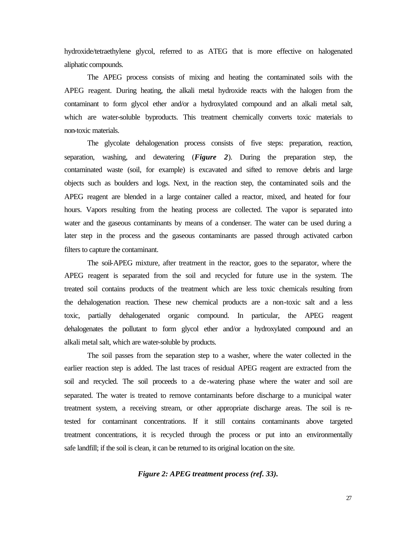hydroxide/tetraethylene glycol, referred to as ATEG that is more effective on halogenated aliphatic compounds.

The APEG process consists of mixing and heating the contaminated soils with the APEG reagent. During heating, the alkali metal hydroxide reacts with the halogen from the contaminant to form glycol ether and/or a hydroxylated compound and an alkali metal salt, which are water-soluble byproducts. This treatment chemically converts toxic materials to non-toxic materials.

The glycolate dehalogenation process consists of five steps: preparation, reaction, separation, washing, and dewatering (*Figure 2*). During the preparation step, the contaminated waste (soil, for example) is excavated and sifted to remove debris and large objects such as boulders and logs. Next, in the reaction step, the contaminated soils and the APEG reagent are blended in a large container called a reactor, mixed, and heated for four hours. Vapors resulting from the heating process are collected. The vapor is separated into water and the gaseous contaminants by means of a condenser. The water can be used during a later step in the process and the gaseous contaminants are passed through activated carbon filters to capture the contaminant.

The soil-APEG mixture, after treatment in the reactor, goes to the separator, where the APEG reagent is separated from the soil and recycled for future use in the system. The treated soil contains products of the treatment which are less toxic chemicals resulting from the dehalogenation reaction. These new chemical products are a non-toxic salt and a less toxic, partially dehalogenated organic compound. In particular, the APEG reagent dehalogenates the pollutant to form glycol ether and/or a hydroxylated compound and an alkali metal salt, which are water-soluble by products.

The soil passes from the separation step to a washer, where the water collected in the earlier reaction step is added. The last traces of residual APEG reagent are extracted from the soil and recycled. The soil proceeds to a de-watering phase where the water and soil are separated. The water is treated to remove contaminants before discharge to a municipal water treatment system, a receiving stream, or other appropriate discharge areas. The soil is retested for contaminant concentrations. If it still contains contaminants above targeted treatment concentrations, it is recycled through the process or put into an environmentally safe landfill; if the soil is clean, it can be returned to its original location on the site.

#### *Figure 2: APEG treatment process (ref. 33).*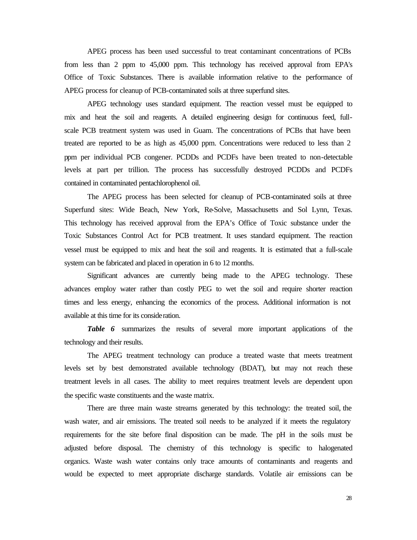APEG process has been used successful to treat contaminant concentrations of PCBs from less than 2 ppm to 45,000 ppm. This technology has received approval from EPA's Office of Toxic Substances. There is available information relative to the performance of APEG process for cleanup of PCB-contaminated soils at three superfund sites.

APEG technology uses standard equipment. The reaction vessel must be equipped to mix and heat the soil and reagents. A detailed engineering design for continuous feed, fullscale PCB treatment system was used in Guam. The concentrations of PCBs that have been treated are reported to be as high as 45,000 ppm. Concentrations were reduced to less than 2 ppm per individual PCB congener. PCDDs and PCDFs have been treated to non-detectable levels at part per trillion. The process has successfully destroyed PCDDs and PCDFs contained in contaminated pentachlorophenol oil.

The APEG process has been selected for cleanup of PCB-contaminated soils at three Superfund sites: Wide Beach, New York, Re-Solve, Massachusetts and Sol Lynn, Texas. This technology has received approval from the EPA's Office of Toxic substance under the Toxic Substances Control Act for PCB treatment. It uses standard equipment. The reaction vessel must be equipped to mix and heat the soil and reagents. It is estimated that a full-scale system can be fabricated and placed in operation in 6 to 12 months.

Significant advances are currently being made to the APEG technology. These advances employ water rather than costly PEG to wet the soil and require shorter reaction times and less energy, enhancing the economics of the process. Additional information is not available at this time for its consideration.

*Table 6* summarizes the results of several more important applications of the technology and their results.

The APEG treatment technology can produce a treated waste that meets treatment levels set by best demonstrated available technology (BDAT), but may not reach these treatment levels in all cases. The ability to meet requires treatment levels are dependent upon the specific waste constituents and the waste matrix.

There are three main waste streams generated by this technology: the treated soil, the wash water, and air emissions. The treated soil needs to be analyzed if it meets the regulatory requirements for the site before final disposition can be made. The pH in the soils must be adjusted before disposal. The chemistry of this technology is specific to halogenated organics. Waste wash water contains only trace amounts of contaminants and reagents and would be expected to meet appropriate discharge standards. Volatile air emissions can be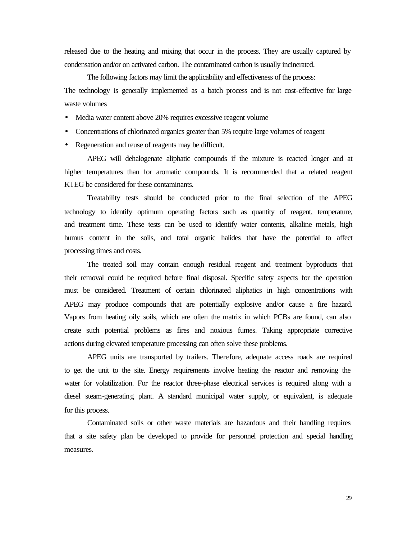released due to the heating and mixing that occur in the process. They are usually captured by condensation and/or on activated carbon. The contaminated carbon is usually incinerated.

The following factors may limit the applicability and effectiveness of the process: The technology is generally implemented as a batch process and is not cost-effective for large waste volumes

- Media water content above 20% requires excessive reagent volume
- Concentrations of chlorinated organics greater than 5% require large volumes of reagent
- Regeneration and reuse of reagents may be difficult.

APEG will dehalogenate aliphatic compounds if the mixture is reacted longer and at higher temperatures than for aromatic compounds. It is recommended that a related reagent KTEG be considered for these contaminants.

Treatability tests should be conducted prior to the final selection of the APEG technology to identify optimum operating factors such as quantity of reagent, temperature, and treatment time. These tests can be used to identify water contents, alkaline metals, high humus content in the soils, and total organic halides that have the potential to affect processing times and costs.

The treated soil may contain enough residual reagent and treatment byproducts that their removal could be required before final disposal. Specific safety aspects for the operation must be considered. Treatment of certain chlorinated aliphatics in high concentrations with APEG may produce compounds that are potentially explosive and/or cause a fire hazard. Vapors from heating oily soils, which are often the matrix in which PCBs are found, can also create such potential problems as fires and noxious fumes. Taking appropriate corrective actions during elevated temperature processing can often solve these problems.

APEG units are transported by trailers. Therefore, adequate access roads are required to get the unit to the site. Energy requirements involve heating the reactor and removing the water for volatilization. For the reactor three-phase electrical services is required along with a diesel steam-generating plant. A standard municipal water supply, or equivalent, is adequate for this process.

Contaminated soils or other waste materials are hazardous and their handling requires that a site safety plan be developed to provide for personnel protection and special handling measures.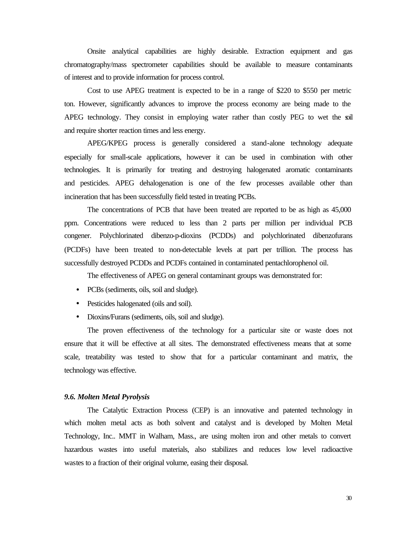Onsite analytical capabilities are highly desirable. Extraction equipment and gas chromatography/mass spectrometer capabilities should be available to measure contaminants of interest and to provide information for process control.

Cost to use APEG treatment is expected to be in a range of \$220 to \$550 per metric ton. However, significantly advances to improve the process economy are being made to the APEG technology. They consist in employing water rather than costly PEG to wet the soil and require shorter reaction times and less energy.

APEG/KPEG process is generally considered a stand-alone technology adequate especially for small-scale applications, however it can be used in combination with other technologies. It is primarily for treating and destroying halogenated aromatic contaminants and pesticides. APEG dehalogenation is one of the few processes available other than incineration that has been successfully field tested in treating PCBs.

The concentrations of PCB that have been treated are reported to be as high as 45,000 ppm. Concentrations were reduced to less than 2 parts per million per individual PCB congener. Polychlorinated dibenzo-p-dioxins (PCDDs) and polychlorinated dibenzofurans (PCDFs) have been treated to non-detectable levels at part per trillion. The process has successfully destroyed PCDDs and PCDFs contained in contaminated pentachlorophenol oil.

The effectiveness of APEG on general contaminant groups was demonstrated for:

- PCBs (sediments, oils, soil and sludge).
- Pesticides halogenated (oils and soil).
- Dioxins/Furans (sediments, oils, soil and sludge).

The proven effectiveness of the technology for a particular site or waste does not ensure that it will be effective at all sites. The demonstrated effectiveness means that at some scale, treatability was tested to show that for a particular contaminant and matrix, the technology was effective.

## *9.6. Molten Metal Pyrolysis*

The Catalytic Extraction Process (CEP) is an innovative and patented technology in which molten metal acts as both solvent and catalyst and is developed by Molten Metal Technology, Inc.. MMT in Walham, Mass., are using molten iron and other metals to convert hazardous wastes into useful materials, also stabilizes and reduces low level radioactive wastes to a fraction of their original volume, easing their disposal.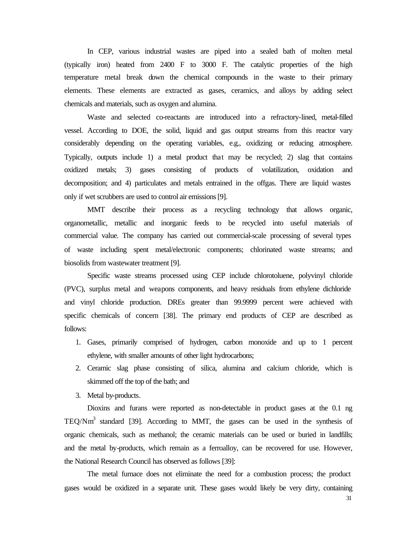In CEP, various industrial wastes are piped into a sealed bath of molten metal (typically iron) heated from 2400 F to 3000 F. The catalytic properties of the high temperature metal break down the chemical compounds in the waste to their primary elements. These elements are extracted as gases, ceramics, and alloys by adding select chemicals and materials, such as oxygen and alumina.

Waste and selected co-reactants are introduced into a refractory-lined, metal-filled vessel. According to DOE, the solid, liquid and gas output streams from this reactor vary considerably depending on the operating variables, e.g., oxidizing or reducing atmosphere. Typically, outputs include 1) a metal product that may be recycled; 2) slag that contains oxidized metals; 3) gases consisting of products of volatilization, oxidation and decomposition; and 4) particulates and metals entrained in the offgas. There are liquid wastes only if wet scrubbers are used to control air emissions [9].

MMT describe their process as a recycling technology that allows organic, organometallic, metallic and inorganic feeds to be recycled into useful materials of commercial value. The company has carried out commercial-scale processing of several types of waste including spent metal/electronic components; chlorinated waste streams; and biosolids from wastewater treatment [9].

Specific waste streams processed using CEP include chlorotoluene, polyvinyl chloride (PVC), surplus metal and weapons components, and heavy residuals from ethylene dichloride and vinyl chloride production. DREs greater than 99.9999 percent were achieved with specific chemicals of concern [38]. The primary end products of CEP are described as follows:

- 1. Gases, primarily comprised of hydrogen, carbon monoxide and up to 1 percent ethylene, with smaller amounts of other light hydrocarbons;
- 2. Ceramic slag phase consisting of silica, alumina and calcium chloride, which is skimmed off the top of the bath; and
- 3. Metal by-products.

Dioxins and furans were reported as non-detectable in product gases at the 0.1 ng  $TEQ/Nm<sup>3</sup>$  standard [39]. According to MMT, the gases can be used in the synthesis of organic chemicals, such as methanol; the ceramic materials can be used or buried in landfills; and the metal by-products, which remain as a ferroalloy, can be recovered for use. However, the National Research Council has observed as follows [39]:

The metal furnace does not eliminate the need for a combustion process; the product gases would be oxidized in a separate unit. These gases would likely be very dirty, containing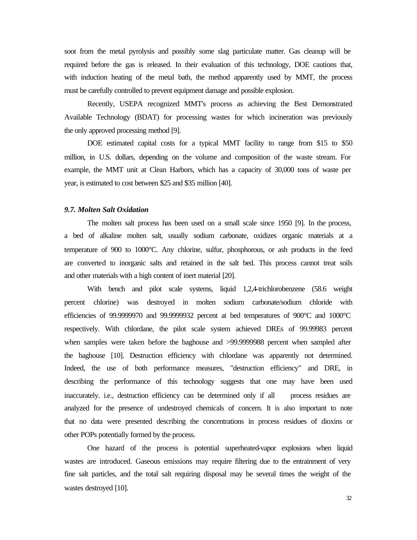soot from the metal pyrolysis and possibly some slag particulate matter. Gas cleanup will be required before the gas is released. In their evaluation of this technology, DOE cautions that, with induction heating of the metal bath, the method apparently used by MMT, the process must be carefully controlled to prevent equipment damage and possible explosion.

Recently, USEPA recognized MMT's process as achieving the Best Demonstrated Available Technology (BDAT) for processing wastes for which incineration was previously the only approved processing method [9].

DOE estimated capital costs for a typical MMT facility to range from \$15 to \$50 million, in U.S. dollars, depending on the volume and composition of the waste stream. For example, the MMT unit at Clean Harbors, which has a capacity of 30,000 tons of waste per year, is estimated to cost between \$25 and \$35 million [40].

# *9.7. Molten Salt Oxidation*

The molten salt process has been used on a small scale since 1950 [9]. In the process, a bed of alkaline molten salt, usually sodium carbonate, oxidizes organic materials at a temperature of 900 to 1000°C. Any chlorine, sulfur, phosphorous, or ash products in the feed are converted to inorganic salts and retained in the salt bed. This process cannot treat soils and other materials with a high content of inert material [20].

With bench and pilot scale systems, liquid 1,2,4-trichlorobenzene (58.6 weight percent chlorine) was destroyed in molten sodium carbonate/sodium chloride with efficiencies of 99.9999970 and 99.9999932 percent at bed temperatures of 900°C and 1000°C respectively. With chlordane, the pilot scale system achieved DREs of 99.99983 percent when samples were taken before the baghouse and >99.9999988 percent when sampled after the baghouse [10]. Destruction efficiency with chlordane was apparently not determined. Indeed, the use of both performance measures, "destruction efficiency" and DRE, in describing the performance of this technology suggests that one may have been used inaccurately. i.e., destruction efficiency can be determined only if all process residues are analyzed for the presence of undestroyed chemicals of concern. It is also important to note that no data were presented describing the concentrations in process residues of dioxins or other POPs potentially formed by the process.

One hazard of the process is potential superheated-vapor explosions when liquid wastes are introduced. Gaseous emissions may require filtering due to the entrainment of very fine salt particles, and the total salt requiring disposal may be several times the weight of the wastes destroyed [10].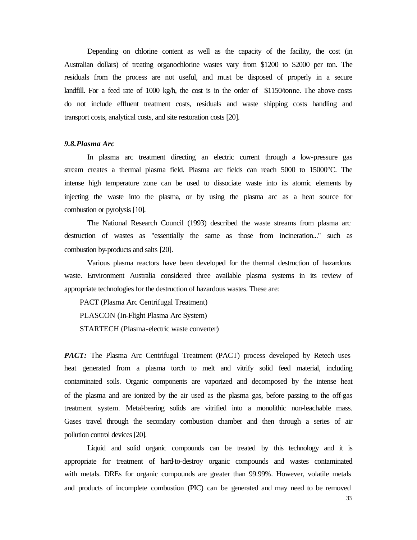Depending on chlorine content as well as the capacity of the facility, the cost (in Australian dollars) of treating organochlorine wastes vary from \$1200 to \$2000 per ton. The residuals from the process are not useful, and must be disposed of properly in a secure landfill. For a feed rate of 1000 kg/h, the cost is in the order of \$1150/tonne. The above costs do not include effluent treatment costs, residuals and waste shipping costs handling and transport costs, analytical costs, and site restoration costs [20].

# *9.8.Plasma Arc*

In plasma arc treatment directing an electric current through a low-pressure gas stream creates a thermal plasma field. Plasma arc fields can reach 5000 to 15000°C. The intense high temperature zone can be used to dissociate waste into its atomic elements by injecting the waste into the plasma, or by using the plasma arc as a heat source for combustion or pyrolysis [10].

The National Research Council (1993) described the waste streams from plasma arc destruction of wastes as "essentially the same as those from incineration..." such as combustion by-products and salts [20].

Various plasma reactors have been developed for the thermal destruction of hazardous waste. Environment Australia considered three available plasma systems in its review of appropriate technologies for the destruction of hazardous wastes. These are:

PACT (Plasma Arc Centrifugal Treatment)

PLASCON (In-Flight Plasma Arc System)

STARTECH (Plasma-electric waste converter)

*PACT*: The Plasma Arc Centrifugal Treatment (PACT) process developed by Retech uses heat generated from a plasma torch to melt and vitrify solid feed material, including contaminated soils. Organic components are vaporized and decomposed by the intense heat of the plasma and are ionized by the air used as the plasma gas, before passing to the off-gas treatment system. Metal-bearing solids are vitrified into a monolithic non-leachable mass. Gases travel through the secondary combustion chamber and then through a series of air pollution control devices [20].

Liquid and solid organic compounds can be treated by this technology and it is appropriate for treatment of hard-to-destroy organic compounds and wastes contaminated with metals. DREs for organic compounds are greater than 99.99%. However, volatile metals and products of incomplete combustion (PIC) can be generated and may need to be removed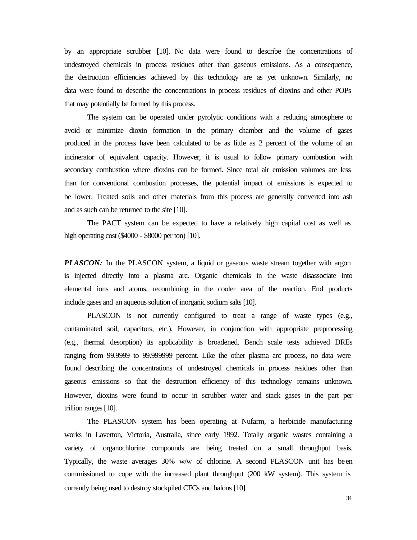by an appropriate scrubber [10]. No data were found to describe the concentrations of undestroyed chemicals in process residues other than gaseous emissions. As a consequence, the destruction efficiencies achieved by this technology are as yet unknown. Similarly, no data were found to describe the concentrations in process residues of dioxins and other POPs that may potentially be formed by this process.

The system can be operated under pyrolytic conditions with a reducing atmosphere to avoid or minimize dioxin formation in the primary chamber and the volume of gases produced in the process have been calculated to be as little as 2 percent of the volume of an incinerator of equivalent capacity. However, it is usual to follow primary combustion with secondary combustion where dioxins can be formed. Since total air emission volumes are less than for conventional combustion processes, the potential impact of emissions is expected to be lower. Treated soils and other materials from this process are generally converted into ash and as such can be returned to the site [10].

The PACT system can be expected to have a relatively high capital cost as well as high operating cost (\$4000 - \$8000 per ton) [10].

*PLASCON:* In the PLASCON system, a liquid or gaseous waste stream together with argon is injected directly into a plasma arc. Organic chemicals in the waste disassociate into elemental ions and atoms, recombining in the cooler area of the reaction. End products include gases and an aqueous solution of inorganic sodium salts [10].

PLASCON is not currently configured to treat a range of waste types (e.g., contaminated soil, capacitors, etc.). However, in conjunction with appropriate preprocessing (e.g., thermal desorption) its applicability is broadened. Bench scale tests achieved DREs ranging from 99.9999 to 99.999999 percent. Like the other plasma arc process, no data were found describing the concentrations of undestroyed chemicals in process residues other than gaseous emissions so that the destruction efficiency of this technology remains unknown. However, dioxins were found to occur in scrubber water and stack gases in the part per trillion ranges [10].

The PLASCON system has been operating at Nufarm, a herbicide manufacturing works in Laverton, Victoria, Australia, since early 1992. Totally organic wastes containing a variety of organochlorine compounds are being treated on a small throughput basis. Typically, the waste averages 30% w/w of chlorine. A second PLASCON unit has been commissioned to cope with the increased plant throughput (200 kW system). This system is currently being used to destroy stockpiled CFCs and halons [10].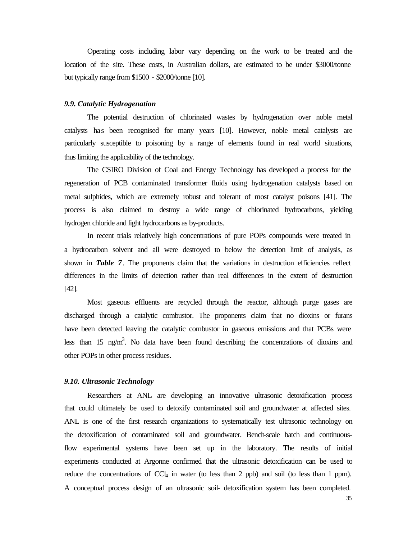Operating costs including labor vary depending on the work to be treated and the location of the site. These costs, in Australian dollars, are estimated to be under \$3000/tonne but typically range from \$1500 - \$2000/tonne [10].

#### *9.9. Catalytic Hydrogenation*

The potential destruction of chlorinated wastes by hydrogenation over noble metal catalysts has been recognised for many years [10]. However, noble metal catalysts are particularly susceptible to poisoning by a range of elements found in real world situations, thus limiting the applicability of the technology.

The CSIRO Division of Coal and Energy Technology has developed a process for the regeneration of PCB contaminated transformer fluids using hydrogenation catalysts based on metal sulphides, which are extremely robust and tolerant of most catalyst poisons [41]. The process is also claimed to destroy a wide range of chlorinated hydrocarbons, yielding hydrogen chloride and light hydrocarbons as by-products.

In recent trials relatively high concentrations of pure POPs compounds were treated in a hydrocarbon solvent and all were destroyed to below the detection limit of analysis, as shown in *Table 7*. The proponents claim that the variations in destruction efficiencies reflect differences in the limits of detection rather than real differences in the extent of destruction [42].

Most gaseous effluents are recycled through the reactor, although purge gases are discharged through a catalytic combustor. The proponents claim that no dioxins or furans have been detected leaving the catalytic combustor in gaseous emissions and that PCBs were less than 15 ng/m<sup>3</sup>. No data have been found describing the concentrations of dioxins and other POPs in other process residues.

## *9.10. Ultrasonic Technology*

Researchers at ANL are developing an innovative ultrasonic detoxification process that could ultimately be used to detoxify contaminated soil and groundwater at affected sites. ANL is one of the first research organizations to systematically test ultrasonic technology on the detoxification of contaminated soil and groundwater. Bench-scale batch and continuousflow experimental systems have been set up in the laboratory. The results of initial experiments conducted at Argonne confirmed that the ultrasonic detoxification can be used to reduce the concentrations of  $CCl_4$  in water (to less than 2 ppb) and soil (to less than 1 ppm). A conceptual process design of an ultrasonic soil- detoxification system has been completed.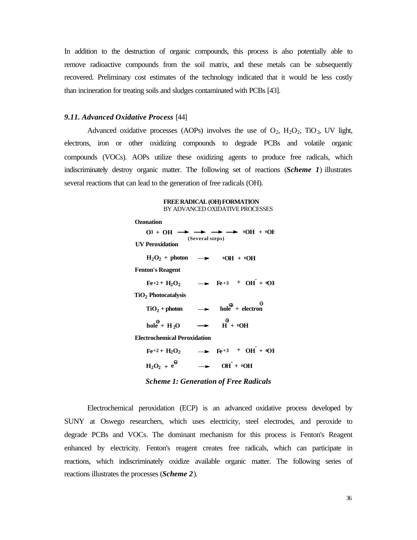In addition to the destruction of organic compounds, this process is also potentially able to remove radioactive compounds from the soil matrix, and these metals can be subsequently recovered. Preliminary cost estimates of the technology indicated that it would be less costly than incineration for treating soils and sludges contaminated with PCBs [43].

#### *9.11. Advanced Oxidative Process* [44]

Advanced oxidative processes (AOPs) involves the use of  $O_2$ ,  $H_2O_2$ ,  $T_1O_2$ , UV light, electrons, iron or other oxidizing compounds to degrade PCBs and volatile organic compounds (VOCs). AOPs utilize these oxidizing agents to produce free radicals, which indiscriminately destroy organic matter. The following set of reactions (*Scheme 1*) illustrates several reactions that can lead to the generation of free radicals (OH).

#### **FREE RADICAL (OH) FORMATION** BY ADVANCED OXIDATIVE PROCESSES

| <b>Ozonation</b>                              |                 |                                                                                                                                                                                 |  |
|-----------------------------------------------|-----------------|---------------------------------------------------------------------------------------------------------------------------------------------------------------------------------|--|
|                                               |                 | $O3 + OH \rightarrow \rightarrow \rightarrow \rightarrow \rightarrow \text{O}H + \text{O}E$                                                                                     |  |
| <b>IV</b> Peroxidation                        | (Several steps) |                                                                                                                                                                                 |  |
| $H_2O_2$ + photon $\longrightarrow$ 0OH + 0OH |                 |                                                                                                                                                                                 |  |
| <b>Fenton's Reagent</b>                       |                 |                                                                                                                                                                                 |  |
|                                               |                 | $Fe+2+H_2O_2$ $\longrightarrow$ $Fe+3$ + $OH + {}^{6}O$                                                                                                                         |  |
| TiO <sub>2</sub> Photocatalysis               |                 |                                                                                                                                                                                 |  |
|                                               |                 | $TiO_2 + photon$ $\longrightarrow$ $hole^{\bigoplus} + electron$                                                                                                                |  |
| hole + $H_2O$                                 |                 | $\rightarrow$ $\qquad \qquad \stackrel{\bigoplus}{\longrightarrow}$ $\qquad \qquad \stackrel{\bigoplus}{\longrightarrow}$ $\qquad \qquad \stackrel{\bigoplus}{\longrightarrow}$ |  |
| <b>Electrochemical Peroxidation</b>           |                 |                                                                                                                                                                                 |  |
| $Fe+2+H2O2$                                   |                 | $\rightarrow$ Fe+3 + OH + OH                                                                                                                                                    |  |

| $H_2O_2 + e^{\Theta}$ | $\rightarrow$ OH + $^0$ OH |
|-----------------------|----------------------------|

*Scheme 1: Generation of Free Radicals*

Electrochemical peroxidation (ECP) is an advanced oxidative process developed by SUNY at Oswego researchers, which uses electricity, steel electrodes, and peroxide to degrade PCBs and VOCs. The dominant mechanism for this process is Fenton's Reagent enhanced by electricity. Fenton's reagent creates free radicals, which can participate in reactions, which indiscriminately oxidize available organic matter. The following series of reactions illustrates the processes (*Scheme 2*).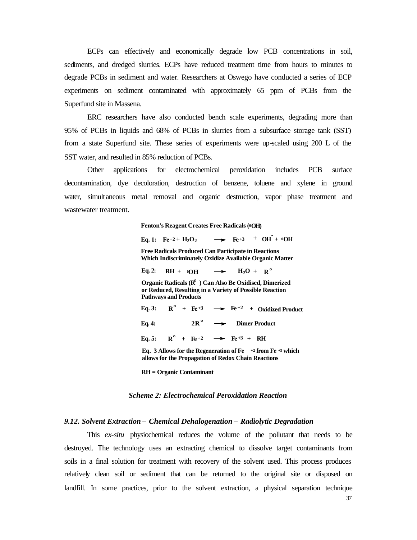ECPs can effectively and economically degrade low PCB concentrations in soil, sediments, and dredged slurries. ECPs have reduced treatment time from hours to minutes to degrade PCBs in sediment and water. Researchers at Oswego have conducted a series of ECP experiments on sediment contaminated with approximately 65 ppm of PCBs from the Superfund site in Massena.

ERC researchers have also conducted bench scale experiments, degrading more than 95% of PCBs in liquids and 68% of PCBs in slurries from a subsurface storage tank (SST) from a state Superfund site. These series of experiments were up-scaled using 200 L of the SST water, and resulted in 85% reduction of PCBs.

Other applications for electrochemical peroxidation includes PCB surface decontamination, dye decoloration, destruction of benzene, toluene and xylene in ground water, simultaneous metal removal and organic destruction, vapor phase treatment and wastewater treatment.

**<sup>0</sup>OH) Fenton's Reagent Creates Free Radicals (**

 $Eq. 1: \quad Fe^{+2} + H_2O_2$  $\rightarrow$  **Fe**<sup>+3</sup> + **OH** + <sup>0</sup>**OH** 

**Free Radicals Produced Can Participate in Reactions Which Indiscriminately Oxidize Available Organic Matter**

 $\rightarrow$  **H**<sub>2</sub>O + **R**<sup>o</sup> Organic Radicals (R<sup>e</sup> ) Can Also Be Oxidised, Dimerized **Eq. 2: or Reduced, Resulting in a Variety of Possible Reaction Pathways and Products**  $RH + \omega OH$ 

 $\rightarrow$  **Fe**<sup>+3</sup> + **RH**  $R^{\circ}$  +  $Fe+2$ **2 Dimer Product <sup>o</sup>**  $2R^{\circ}$  $R^{\circ}$  +  $Fe+3$   $\longrightarrow$   $Fe+2$  + Oxidized Product **Eq. 5: Eq. 4: Eq. 3: Eq. 3 Allows for the Regeneration of Fe +2 from Fe +3 which allows for the Propagation of Redox Chain Reactions** 

**RH = Organic Contaminant**

#### *Scheme 2: Electrochemical Peroxidation Reaction*

## *9.12. Solvent Extraction – Chemical Dehalogenation – Radiolytic Degradation*

This *ex-situ* physiochemical reduces the volume of the pollutant that needs to be destroyed. The technology uses an extracting chemical to dissolve target contaminants from soils in a final solution for treatment with recovery of the solvent used. This process produces relatively clean soil or sediment that can be returned to the original site or disposed on landfill. In some practices, prior to the solvent extraction, a physical separation technique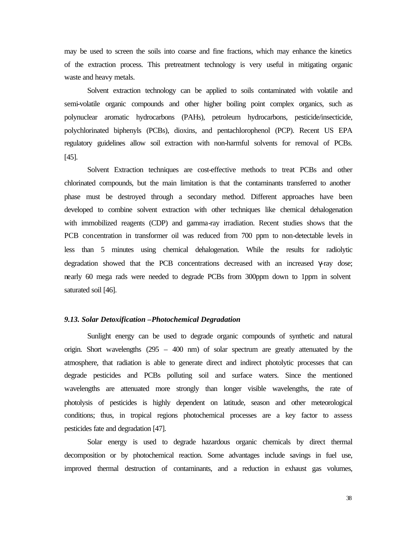may be used to screen the soils into coarse and fine fractions, which may enhance the kinetics of the extraction process. This pretreatment technology is very useful in mitigating organic waste and heavy metals.

Solvent extraction technology can be applied to soils contaminated with volatile and semi-volatile organic compounds and other higher boiling point complex organics, such as polynuclear aromatic hydrocarbons (PAHs), petroleum hydrocarbons, pesticide/insecticide, polychlorinated biphenyls (PCBs), dioxins, and pentachlorophenol (PCP). Recent US EPA regulatory guidelines allow soil extraction with non-harmful solvents for removal of PCBs. [45].

Solvent Extraction techniques are cost-effective methods to treat PCBs and other chlorinated compounds, but the main limitation is that the contaminants transferred to another phase must be destroyed through a secondary method. Different approaches have been developed to combine solvent extraction with other techniques like chemical dehalogenation with immobilized reagents (CDP) and gamma-ray irradiation. Recent studies shows that the PCB concentration in transformer oil was reduced from 700 ppm to non-detectable levels in less than 5 minutes using chemical dehalogenation. While the results for radiolytic degradation showed that the PCB concentrations decreased with an increased γ-ray dose; nearly 60 mega rads were needed to degrade PCBs from 300ppm down to 1ppm in solvent saturated soil [46].

#### *9.13. Solar Detoxification –Photochemical Degradation*

Sunlight energy can be used to degrade organic compounds of synthetic and natural origin. Short wavelengths (295 – 400 nm) of solar spectrum are greatly attenuated by the atmosphere, that radiation is able to generate direct and indirect photolytic processes that can degrade pesticides and PCBs polluting soil and surface waters. Since the mentioned wavelengths are attenuated more strongly than longer visible wavelengths, the rate of photolysis of pesticides is highly dependent on latitude, season and other meteorological conditions; thus, in tropical regions photochemical processes are a key factor to assess pesticides fate and degradation [47].

Solar energy is used to degrade hazardous organic chemicals by direct thermal decomposition or by photochemical reaction. Some advantages include savings in fuel use, improved thermal destruction of contaminants, and a reduction in exhaust gas volumes,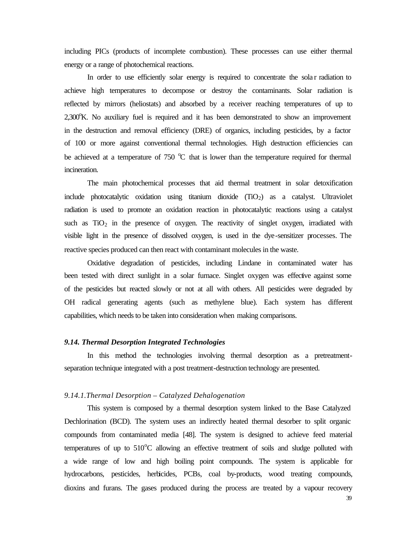including PICs (products of incomplete combustion). These processes can use either thermal energy or a range of photochemical reactions.

In order to use efficiently solar energy is required to concentrate the sola r radiation to achieve high temperatures to decompose or destroy the contaminants. Solar radiation is reflected by mirrors (heliostats) and absorbed by a receiver reaching temperatures of up to  $2,300^{\circ}$ K. No auxiliary fuel is required and it has been demonstrated to show an improvement in the destruction and removal efficiency (DRE) of organics, including pesticides, by a factor of 100 or more against conventional thermal technologies. High destruction efficiencies can be achieved at a temperature of  $750 \degree C$  that is lower than the temperature required for thermal incineration.

The main photochemical processes that aid thermal treatment in solar detoxification include photocatalytic oxidation using titanium dioxide (TiO2) as a catalyst. Ultraviolet radiation is used to promote an oxidation reaction in photocatalytic reactions using a catalyst such as  $TiO<sub>2</sub>$  in the presence of oxygen. The reactivity of singlet oxygen, irradiated with visible light in the presence of dissolved oxygen, is used in the dye-sensitizer processes. The reactive species produced can then react with contaminant molecules in the waste.

Oxidative degradation of pesticides, including Lindane in contaminated water has been tested with direct sunlight in a solar furnace. Singlet oxygen was effective against some of the pesticides but reacted slowly or not at all with others. All pesticides were degraded by OH radical generating agents (such as methylene blue). Each system has different capabilities, which needs to be taken into consideration when making comparisons.

#### *9.14. Thermal Desorption Integrated Technologies*

In this method the technologies involving thermal desorption as a pretreatmentseparation technique integrated with a post treatment-destruction technology are presented.

# *9.14.1.Thermal Desorption – Catalyzed Dehalogenation*

This system is composed by a thermal desorption system linked to the Base Catalyzed Dechlorination (BCD). The system uses an indirectly heated thermal desorber to split organic compounds from contaminated media [48]. The system is designed to achieve feed material temperatures of up to  $510^{\circ}$ C allowing an effective treatment of soils and sludge polluted with a wide range of low and high boiling point compounds. The system is applicable for hydrocarbons, pesticides, herbicides, PCBs, coal by-products, wood treating compounds, dioxins and furans. The gases produced during the process are treated by a vapour recovery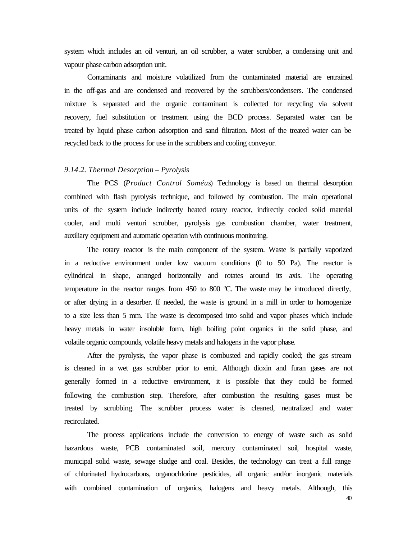system which includes an oil venturi, an oil scrubber, a water scrubber, a condensing unit and vapour phase carbon adsorption unit.

Contaminants and moisture volatilized from the contaminated material are entrained in the off-gas and are condensed and recovered by the scrubbers/condensers. The condensed mixture is separated and the organic contaminant is collected for recycling via solvent recovery, fuel substitution or treatment using the BCD process. Separated water can be treated by liquid phase carbon adsorption and sand filtration. Most of the treated water can be recycled back to the process for use in the scrubbers and cooling conveyor.

## *9.14.2. Thermal Desorption – Pyrolysis*

The PCS (*Product Control Soméus*) Technology is based on thermal desorption combined with flash pyrolysis technique, and followed by combustion. The main operational units of the system include indirectly heated rotary reactor, indirectly cooled solid material cooler, and multi venturi scrubber, pyrolysis gas combustion chamber, water treatment, auxiliary equipment and automatic operation with continuous monitoring.

The rotary reactor is the main component of the system. Waste is partially vaporized in a reductive environment under low vacuum conditions (0 to 50 Pa). The reactor is cylindrical in shape, arranged horizontally and rotates around its axis. The operating temperature in the reactor ranges from 450 to 800  $^{\circ}$ C. The waste may be introduced directly, or after drying in a desorber. If needed, the waste is ground in a mill in order to homogenize to a size less than 5 mm. The waste is decomposed into solid and vapor phases which include heavy metals in water insoluble form, high boiling point organics in the solid phase, and volatile organic compounds, volatile heavy metals and halogens in the vapor phase.

After the pyrolysis, the vapor phase is combusted and rapidly cooled; the gas stream is cleaned in a wet gas scrubber prior to emit. Although dioxin and furan gases are not generally formed in a reductive environment, it is possible that they could be formed following the combustion step. Therefore, after combustion the resulting gases must be treated by scrubbing. The scrubber process water is cleaned, neutralized and water recirculated.

The process applications include the conversion to energy of waste such as solid hazardous waste, PCB contaminated soil, mercury contaminated soil, hospital waste, municipal solid waste, sewage sludge and coal. Besides, the technology can treat a full range of chlorinated hydrocarbons, organochlorine pesticides, all organic and/or inorganic materials with combined contamination of organics, halogens and heavy metals. Although, this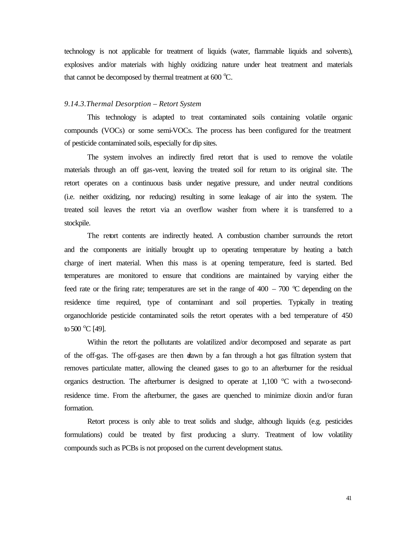technology is not applicable for treatment of liquids (water, flammable liquids and solvents), explosives and/or materials with highly oxidizing nature under heat treatment and materials that cannot be decomposed by thermal treatment at 600  $^{\circ}C$ .

#### *9.14.3.Thermal Desorption – Retort System*

This technology is adapted to treat contaminated soils containing volatile organic compounds (VOCs) or some semi-VOCs. The process has been configured for the treatment of pesticide contaminated soils, especially for dip sites.

The system involves an indirectly fired retort that is used to remove the volatile materials through an off gas-vent, leaving the treated soil for return to its original site. The retort operates on a continuous basis under negative pressure, and under neutral conditions (i.e. neither oxidizing, nor reducing) resulting in some leakage of air into the system. The treated soil leaves the retort via an overflow washer from where it is transferred to a stockpile.

The retort contents are indirectly heated. A combustion chamber surrounds the retort and the components are initially brought up to operating temperature by heating a batch charge of inert material. When this mass is at opening temperature, feed is started. Bed temperatures are monitored to ensure that conditions are maintained by varying either the feed rate or the firing rate; temperatures are set in the range of  $400 - 700$  °C depending on the residence time required, type of contaminant and soil properties. Typically in treating organochloride pesticide contaminated soils the retort operates with a bed temperature of 450 to 500  $^{\circ}$ C [49].

Within the retort the pollutants are volatilized and/or decomposed and separate as part of the off-gas. The off-gases are then drawn by a fan through a hot gas filtration system that removes particulate matter, allowing the cleaned gases to go to an afterburner for the residual organics destruction. The afterburner is designed to operate at  $1,100\degree$ C with a two-secondresidence time. From the afterburner, the gases are quenched to minimize dioxin and/or furan formation.

Retort process is only able to treat solids and sludge, although liquids (e.g. pesticides formulations) could be treated by first producing a slurry. Treatment of low volatility compounds such as PCBs is not proposed on the current development status.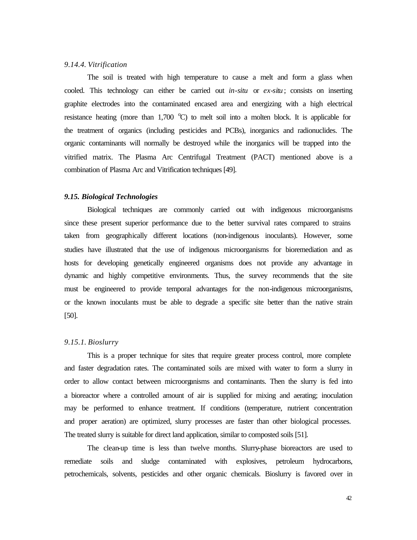#### *9.14.4. Vitrification*

The soil is treated with high temperature to cause a melt and form a glass when cooled. This technology can either be carried out *in-situ* or *ex-situ* ; consists on inserting graphite electrodes into the contaminated encased area and energizing with a high electrical resistance heating (more than  $1,700$  °C) to melt soil into a molten block. It is applicable for the treatment of organics (including pesticides and PCBs), inorganics and radionuclides. The organic contaminants will normally be destroyed while the inorganics will be trapped into the vitrified matrix. The Plasma Arc Centrifugal Treatment (PACT) mentioned above is a combination of Plasma Arc and Vitrification techniques [49].

#### *9.15. Biological Technologies*

Biological techniques are commonly carried out with indigenous microorganisms since these present superior performance due to the better survival rates compared to strains taken from geographically different locations (non-indigenous inoculants). However, some studies have illustrated that the use of indigenous microorganisms for bioremediation and as hosts for developing genetically engineered organisms does not provide any advantage in dynamic and highly competitive environments. Thus, the survey recommends that the site must be engineered to provide temporal advantages for the non-indigenous microorganisms, or the known inoculants must be able to degrade a specific site better than the native strain [50].

## *9.15.1. Bioslurry*

This is a proper technique for sites that require greater process control, more complete and faster degradation rates. The contaminated soils are mixed with water to form a slurry in order to allow contact between microorganisms and contaminants. Then the slurry is fed into a bioreactor where a controlled amount of air is supplied for mixing and aerating; inoculation may be performed to enhance treatment. If conditions (temperature, nutrient concentration and proper aeration) are optimized, slurry processes are faster than other biological processes. The treated slurry is suitable for direct land application, similar to composted soils [51].

The clean-up time is less than twelve months. Slurry-phase bioreactors are used to remediate soils and sludge contaminated with explosives, petroleum hydrocarbons, petrochemicals, solvents, pesticides and other organic chemicals. Bioslurry is favored over in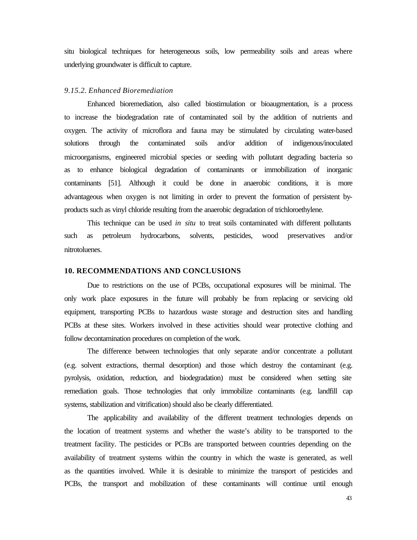situ biological techniques for heterogeneous soils, low permeability soils and areas where underlying groundwater is difficult to capture.

## *9.15.2. Enhanced Bioremediation*

Enhanced bioremediation, also called biostimulation or bioaugmentation, is a process to increase the biodegradation rate of contaminated soil by the addition of nutrients and oxygen. The activity of microflora and fauna may be stimulated by circulating water-based solutions through the contaminated soils and/or addition of indigenous/inoculated microorganisms, engineered microbial species or seeding with pollutant degrading bacteria so as to enhance biological degradation of contaminants or immobilization of inorganic contaminants [51]. Although it could be done in anaerobic conditions, it is more advantageous when oxygen is not limiting in order to prevent the formation of persistent byproducts such as vinyl chloride resulting from the anaerobic degradation of trichloroethylene.

This technique can be used *in situ* to treat soils contaminated with different pollutants such as petroleum hydrocarbons, solvents, pesticides, wood preservatives and/or nitrotoluenes.

#### **10. RECOMMENDATIONS AND CONCLUSIONS**

Due to restrictions on the use of PCBs, occupational exposures will be minimal. The only work place exposures in the future will probably be from replacing or servicing old equipment, transporting PCBs to hazardous waste storage and destruction sites and handling PCBs at these sites. Workers involved in these activities should wear protective clothing and follow decontamination procedures on completion of the work.

The difference between technologies that only separate and/or concentrate a pollutant (e.g. solvent extractions, thermal desorption) and those which destroy the contaminant (e.g. pyrolysis, oxidation, reduction, and biodegradation) must be considered when setting site remediation goals. Those technologies that only immobilize contaminants (e.g. landfill cap systems, stabilization and vitrification) should also be clearly differentiated.

The applicability and availability of the different treatment technologies depends on the location of treatment systems and whether the waste's ability to be transported to the treatment facility. The pesticides or PCBs are transported between countries depending on the availability of treatment systems within the country in which the waste is generated, as well as the quantities involved. While it is desirable to minimize the transport of pesticides and PCBs, the transport and mobilization of these contaminants will continue until enough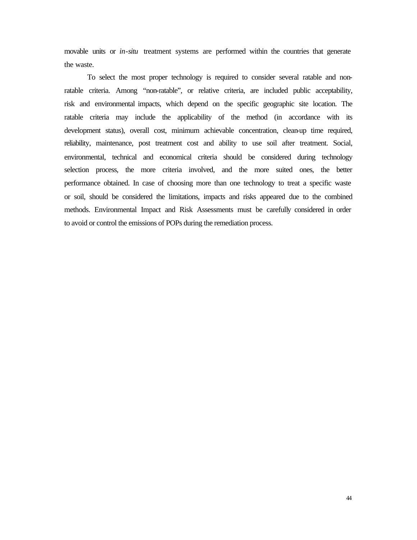movable units or *in-situ* treatment systems are performed within the countries that generate the waste.

To select the most proper technology is required to consider several ratable and nonratable criteria. Among "non-ratable", or relative criteria, are included public acceptability, risk and environmental impacts, which depend on the specific geographic site location. The ratable criteria may include the applicability of the method (in accordance with its development status), overall cost, minimum achievable concentration, clean-up time required, reliability, maintenance, post treatment cost and ability to use soil after treatment. Social, environmental, technical and economical criteria should be considered during technology selection process, the more criteria involved, and the more suited ones, the better performance obtained. In case of choosing more than one technology to treat a specific waste or soil, should be considered the limitations, impacts and risks appeared due to the combined methods. Environmental Impact and Risk Assessments must be carefully considered in order to avoid or control the emissions of POPs during the remediation process.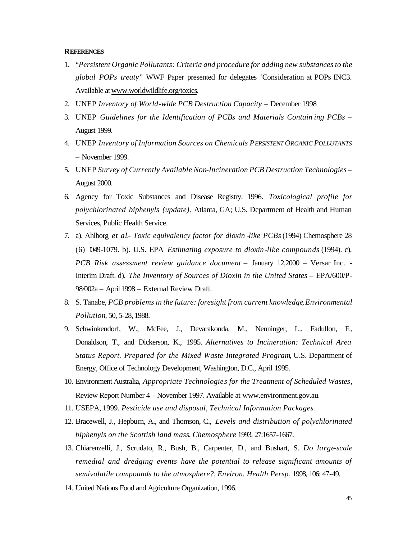#### **REFERENCES**

- 1. "*Persistent Organic Pollutants: Criteria and procedure for adding new substances to the global POPs treaty*" WWF Paper presented for delegates 'Consideration at POPs INC3. Available at www.worldwildlife.org/toxics.
- 2. UNEP *Inventory of World-wide PCB Destruction Capacity* December 1998
- 3. UNEP *Guidelines for the Identification of PCBs and Materials Contain ing PCBs* August 1999.
- 4. UNEP *Inventory of Information Sources on Chemicals PERSISTENT ORGANIC POLLUTANTS* – November 1999.
- 5. UNEP *Survey of Currently Available Non-Incineration PCB Destruction Technologies* August 2000.
- 6. Agency for Toxic Substances and Disease Registry. 1996*. Toxicological profile for polychlorinated biphenyls (update)*, Atlanta, GA; U.S. Department of Health and Human Services, Public Health Service.
- 7. a). Ahlborg *et al*.- *Toxic equivalency factor for dioxin -like PCBs* (1994) Chemosphere 28 (6) 1049-1079. b). U.S. EPA *Estimating exposure to dioxin-like compounds* (1994). c). *PCB Risk assessment review guidance document* – January 12,2000 – Versar Inc. - Interim Draft. d). *The Inventory of Sources of Dioxin in the United States* – EPA/600/P-98/002a – April 1998 – External Review Draft.
- 8. S. Tanabe, *PCB problems in the future: foresight from current knowledge*, *Environmental Pollution*, 50, 5-28, 1988.
- 9. Schwinkendorf, W., McFee, J., Devarakonda, M., Nenninger, L., Fadullon, F., Donaldson, T., and Dickerson, K., 1995. *Alternatives to Incineration: Technical Area Status Report. Prepared for the Mixed Waste Integrated Program*, U.S. Department of Energy, Office of Technology Development, Washington, D.C., April 1995.
- 10. Environment Australia, *Appropriate Technologies for the Treatment of Scheduled Wastes*, Review Report Number 4 - November 1997. Available at www.environment.gov.au.
- 11. USEPA, 1999. *Pesticide use and disposal, Technical Information Packages*.
- 12. Bracewell, J., Hepburn, A., and Thomson, C., *Levels and distribution of polychlorinated biphenyls on the Scottish land mass*, *Chemosphere* 1993, 27:1657-1667.
- 13. Chiarenzelli, J., Scrudato, R., Bush, B., Carpenter, D., and Bushart, S. *Do large-scale remedial and dredging events have the potential to release significant amounts of semivolatile compounds to the atmosphere?*, *Environ. Health Persp.* 1998, 106: 47-49.
- 14. United Nations Food and Agriculture Organization, 1996.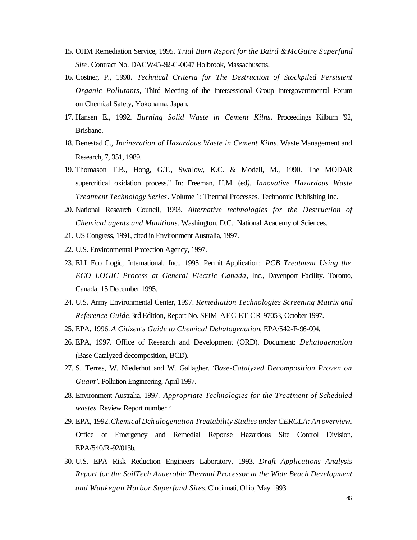- 15. OHM Remediation Service, 1995. *Trial Burn Report for the Baird & McGuire Superfund Site*. Contract No. DACW45-92-C-0047 Holbrook, Massachusetts.
- 16. Costner, P., 1998*. Technical Criteria for The Destruction of Stockpiled Persistent Organic Pollutants*, Third Meeting of the Intersessional Group Intergovernmental Forum on Chemical Safety, Yokohama, Japan.
- 17. Hansen E., 1992. *Burning Solid Waste in Cement Kilns*. Proceedings Kilburn '92, Brisbane.
- 18. Benestad C., *Incineration of Hazardous Waste in Cement Kilns*. Waste Management and Research, 7, 351, 1989.
- 19. Thomason T.B., Hong, G.T., Swallow, K.C. & Modell, M., 1990. The MODAR supercritical oxidation process." In: Freeman, H.M. (ed*). Innovative Hazardous Waste Treatment Technology Series*. Volume 1: Thermal Processes. Technomic Publishing Inc.
- 20. National Research Council, 1993. *Alternative technologies for the Destruction of Chemical agents and Munitions*. Washington, D.C.: National Academy of Sciences.
- 21. US Congress, 1991, cited in Environment Australia, 1997.
- 22. U.S. Environmental Protection Agency, 1997.
- 23. ELI Eco Logic, International, Inc., 1995. Permit Application: *PCB Treatment Using the ECO LOGIC Process at General Electric Canada*, Inc., Davenport Facility. Toronto, Canada, 15 December 1995.
- 24. U.S. Army Environmental Center, 1997. *Remediation Technologies Screening Matrix and Reference Guide*, 3rd Edition, Report No. SFIM-AEC-ET-CR-97053, October 1997.
- 25. EPA, 1996. *A Citizen's Guide to Chemical Dehalogenation*, EPA/542-F-96-004.
- 26. EPA, 1997. Office of Research and Development (ORD). Document: *Dehalogenation*  (Base Catalyzed decomposition, BCD).
- 27. S. Terres, W. Niederhut and W. Gallagher. "*Base-Catalyzed Decomposition Proven on Guam*". Pollution Engineering, April 1997.
- 28. Environment Australia, 1997. *Appropriate Technologies for the Treatment of Scheduled wastes*. Review Report number 4.
- 29. EPA, 1992. *Chemical Deh alogenation Treatability Studies under CERCLA: An overview.* Office of Emergency and Remedial Reponse Hazardous Site Control Division, EPA/540/R-92/013b.
- 30. U.S. EPA Risk Reduction Engineers Laboratory, 1993. *Draft Applications Analysis Report for the SoilTech Anaerobic Thermal Processor at the Wide Beach Development and Waukegan Harbor Superfund Sites*, Cincinnati, Ohio, May 1993.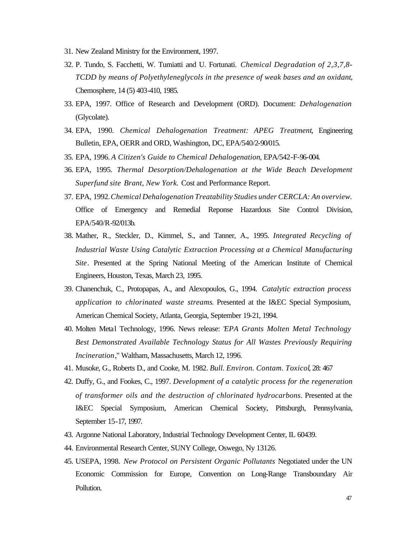- 31. New Zealand Ministry for the Environment, 1997.
- 32. P. Tundo, S. Facchetti, W. Tumiatti and U. Fortunati. *Chemical Degradation of 2,3,7,8- TCDD by means of Polyethyleneglycols in the presence of weak bases and an oxidant*, Chemosphere, 14 (5) 403-410, 1985.
- 33. EPA, 1997. Office of Research and Development (ORD). Document: *Dehalogenation* (Glycolate).
- 34. EPA, 1990. *Chemical Dehalogenation Treatment: APEG Treatment*, Engineering Bulletin, EPA, OERR and ORD, Washington, DC, EPA/540/2-90/015.
- 35. EPA, 1996. *A Citizen's Guide to Chemical Dehalogenation*, EPA/542-F-96-004.
- 36. EPA, 1995. *Thermal Desorption/Dehalogenation at the Wide Beach Development Superfund site Brant, New York.* Cost and Performance Report.
- 37. EPA, 1992. *Chemical Dehalogenation Treatability Studies under CERCLA: An overview.* Office of Emergency and Remedial Reponse Hazardous Site Control Division, EPA/540/R-92/013b.
- 38. Mather, R., Steckler, D., Kimmel, S., and Tanner, A., 1995. *Integrated Recycling of Industrial Waste Using Catalytic Extraction Processing at a Chemical Manufacturing Site*. Presented at the Spring National Meeting of the American Institute of Chemical Engineers, Houston, Texas, March 23, 1995.
- 39. Chanenchuk, C., Protopapas, A., and Alexopoulos, G., 1994. *Catalytic extraction process application to chlorinated waste streams*. Presented at the I&EC Special Symposium, American Chemical Society, Atlanta, Georgia, September 19-21, 1994.
- 40. Molten Metal Technology, 1996. News release: "*EPA Grants Molten Metal Technology Best Demonstrated Available Technology Status for All Wastes Previously Requiring Incineration*," Waltham, Massachusetts, March 12, 1996.
- 41. Musoke, G., Roberts D., and Cooke, M. 1982. *Bull. Environ. Contam. Toxicol*, 28: 467
- 42. Duffy, G., and Fookes, C., 1997. *Development of a catalytic process for the regeneration of transformer oils and the destruction of chlorinated hydrocarbons*. Presented at the I&EC Special Symposium, American Chemical Society, Pittsburgh, Pennsylvania, September 15-17, 1997.
- 43. Argonne National Laboratory, Industrial Technology Development Center, IL 60439.
- 44. Environmental Research Center, SUNY College, Oswego, Ny 13126.
- 45. USEPA, 1998. *New Protocol on Persistent Organic Pollutants* Negotiated under the UN Economic Commission for Europe*,* Convention on Long-Range Transboundary Air Pollution.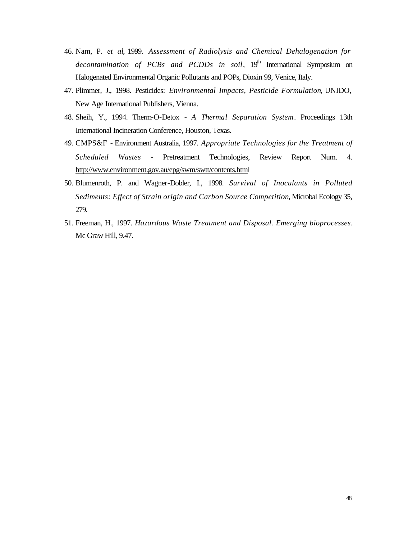- 46. Nam, P. *et al*, 1999. *Assessment of Radiolysis and Chemical Dehalogenation for decontamination of PCBs and PCDDs in soil*, 19<sup>th</sup> International Symposium on Halogenated Environmental Organic Pollutants and POPs, Dioxin 99, Venice, Italy.
- 47. Plimmer, J., 1998. Pesticides: *Environmental Impacts, Pesticide Formulation*, UNIDO, New Age International Publishers, Vienna.
- 48. Sheih, Y., 1994. Therm-O-Detox *A Thermal Separation System*. Proceedings 13th International Incineration Conference, Houston, Texas.
- 49. CMPS&F Environment Australia, 1997. *Appropriate Technologies for the Treatment of Scheduled Wastes* - Pretreatment Technologies, Review Report Num. 4. http://www.environment.gov.au/epg/swm/swtt/contents.html
- 50. Blumenroth, P. and Wagner-Dobler, I., 1998. *Survival of Inoculants in Polluted Sediments: Effect of Strain origin and Carbon Source Competition*, Microbal Ecology 35, 279.
- 51. Freeman, H., 1997. *Hazardous Waste Treatment and Disposal. Emerging bioprocesses*. Mc Graw Hill, 9.47.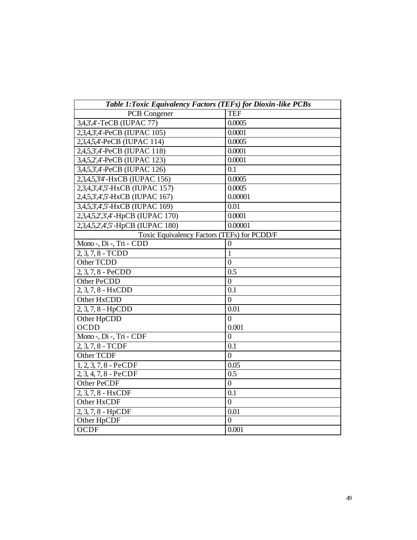| Table 1: Toxic Equivalency Factors (TEFs) for Dioxin-like PCBs |                  |  |  |
|----------------------------------------------------------------|------------------|--|--|
| PCB Congener                                                   | <b>TEF</b>       |  |  |
| 3,4,3',4'-TeCB (IUPAC 77)                                      | 0.0005           |  |  |
| 2,3,4,3',4'-PeCB (IUPAC 105)                                   | 0.0001           |  |  |
| 2,3,4,5,4'-PeCB (IUPAC 114)                                    | 0.0005           |  |  |
| 2,4,5,3',4'-PeCB (IUPAC 118)                                   | 0.0001           |  |  |
| 3,4,5,2',4'-PeCB (IUPAC 123)                                   | 0.0001           |  |  |
| 3,4,5,3',4'-PeCB (IUPAC 126)                                   | 0.1              |  |  |
| 2,3,4,5,3'4'-HxCB (IUPAC 156)                                  | 0.0005           |  |  |
| 2,3,4,3',4',5'-HxCB (IUPAC 157)                                | 0.0005           |  |  |
| 2,4,5,3',4',5'-HxCB (IUPAC 167)                                | 0.00001          |  |  |
| 3,4,5,3',4',5'-HxCB (IUPAC 169)                                | 0.01             |  |  |
| 2,3,4,5,2',3',4'-HpCB (IUPAC 170)                              | 0.0001           |  |  |
| 2,3,4,5,2',4',5'-HpCB (IUPAC 180)                              | 0.00001          |  |  |
| Toxic Equivalency Factors (TEFs) for PCDD/F                    |                  |  |  |
| Mono-, Di-, Tri - CDD                                          | $\boldsymbol{0}$ |  |  |
| 2, 3, 7, 8 - TCDD                                              | $\mathbf{1}$     |  |  |
| Other TCDD                                                     | $\overline{0}$   |  |  |
| 2, 3, 7, 8 - PeCDD                                             | 0.5              |  |  |
| Other PeCDD                                                    | $\overline{0}$   |  |  |
| 2, 3, 7, 8 - HxCDD                                             | 0.1              |  |  |
| Other HxCDD                                                    | $\overline{0}$   |  |  |
| 2, 3, 7, 8 - HpCDD                                             | 0.01             |  |  |
| Other HpCDD                                                    | $\overline{0}$   |  |  |
| <b>OCDD</b>                                                    | 0.001            |  |  |
| Mono-, Di-, Tri - CDF                                          | $\theta$         |  |  |
| 2, 3, 7, 8 - TCDF                                              | 0.1              |  |  |
| Other TCDF                                                     | $\overline{0}$   |  |  |
| $1, 2, 3, 7, 8$ - PeCDF                                        | 0.05             |  |  |
| $2, 3, 4, 7, 8$ - PeCDF                                        | 0.5              |  |  |
| Other PeCDF                                                    | $\overline{0}$   |  |  |
| 2, 3, 7, 8 - HxCDF                                             | 0.1              |  |  |
| Other HxCDF                                                    | $\overline{0}$   |  |  |
| 2, 3, 7, 8 - HpCDF                                             | 0.01             |  |  |
| Other HpCDF                                                    | $\overline{0}$   |  |  |
| <b>OCDF</b>                                                    | 0.001            |  |  |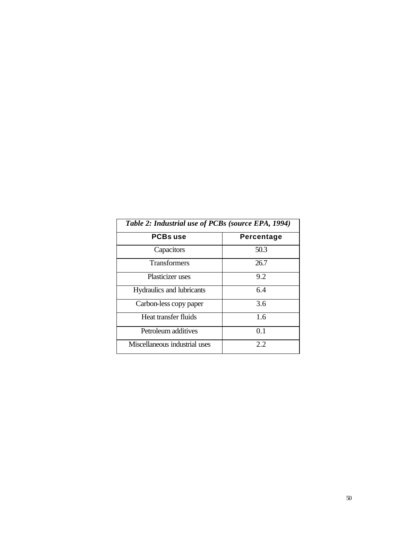| Table 2: Industrial use of PCBs (source EPA, 1994) |            |  |  |
|----------------------------------------------------|------------|--|--|
| <b>PCBs use</b>                                    | Percentage |  |  |
| Capacitors                                         | 50.3       |  |  |
| <b>Transformers</b>                                | 26.7       |  |  |
| Plasticizer uses                                   | 9.2        |  |  |
| Hydraulics and lubricants                          | 64         |  |  |
| Carbon-less copy paper                             | 3.6        |  |  |
| Heat transfer fluids                               | 1.6        |  |  |
| Petroleum additives                                | 0.1        |  |  |
| Miscellaneous industrial uses                      | 2.2        |  |  |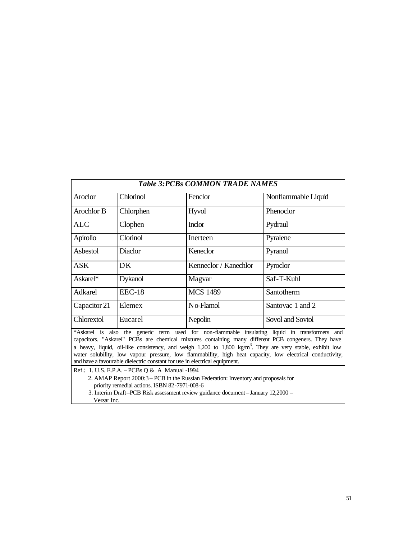| <b>Table 3: PCBs COMMON TRADE NAMES</b>                                                                                                                                                                                                |                |                                   |                     |  |
|----------------------------------------------------------------------------------------------------------------------------------------------------------------------------------------------------------------------------------------|----------------|-----------------------------------|---------------------|--|
| Aroclor                                                                                                                                                                                                                                | Chlorinol      | Fenclor                           | Nonflammable Liquid |  |
| Arochlor B                                                                                                                                                                                                                             | Chlorphen      | Hyvol                             | Phenoclor           |  |
| <b>ALC</b>                                                                                                                                                                                                                             | Clophen        | <b>Inclor</b>                     | Pydraul             |  |
| Apirolio                                                                                                                                                                                                                               | Clorinol       | Inerteen                          | Pyralene            |  |
| Asbestol                                                                                                                                                                                                                               | Diaclor        | Keneclor<br>Pyranol               |                     |  |
| <b>ASK</b>                                                                                                                                                                                                                             | DK             | Kenneclor / Kanechlor<br>Pyroclor |                     |  |
| Askarel*                                                                                                                                                                                                                               | <b>Dykanol</b> | Saf-T-Kuhl<br>Magvar              |                     |  |
| Adkarel                                                                                                                                                                                                                                | $EEC-18$       | <b>MCS 1489</b><br>Santotherm     |                     |  |
| Capacitor 21                                                                                                                                                                                                                           | Elemex         | $N$ $\alpha$ -Flamol              | Santovac 1 and 2    |  |
| Chlorextol                                                                                                                                                                                                                             | Eucarel        | Nepolin<br>Sovol and Sovtol       |                     |  |
| *Askarel is also the generic term used for non-flammable insulating liquid in transformers and<br>capacitors. "Askarel" PCBs are chemical mixtures containing many different PCB congeners. They have                                  |                |                                   |                     |  |
| a heavy, liquid, oil-like consistency, and weigh $1,200$ to $1,800$ kg/m <sup>3</sup> . They are very stable, exhibit low<br>water solubility, low vapour pressure, low flammability, high heat capacity, low electrical conductivity, |                |                                   |                     |  |
| and have a favourable dielectric constant for use in electrical equipment.                                                                                                                                                             |                |                                   |                     |  |
| Ref.: 1. U.S. E.P.A. - PCBs Q & A Manual -1994                                                                                                                                                                                         |                |                                   |                     |  |
| 2. AMAP Report 2000:3 – PCB in the Russian Federation: Inventory and proposals for                                                                                                                                                     |                |                                   |                     |  |
| priority remedial actions. ISBN 82-7971-008-6<br>3. Interim Draft-PCB Risk assessment review guidance document - January 12,2000 -                                                                                                     |                |                                   |                     |  |
| Versar Inc.                                                                                                                                                                                                                            |                |                                   |                     |  |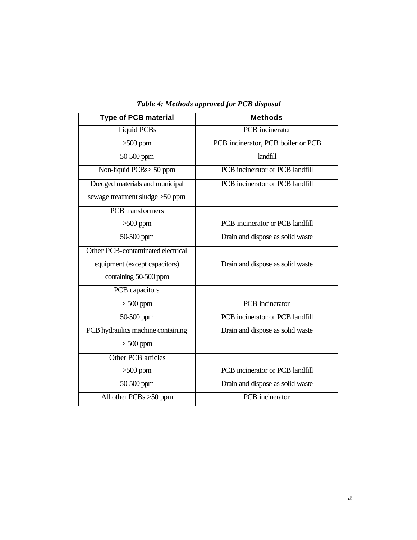| <b>Type of PCB material</b>       | <b>Methods</b>                     |  |
|-----------------------------------|------------------------------------|--|
| Liquid PCBs                       | PCB incinerator                    |  |
| $>500$ ppm                        | PCB incinerator, PCB boiler or PCB |  |
| 50-500 ppm                        | landfill                           |  |
| Non-liquid PCBs> 50 ppm           | PCB incinerator or PCB landfill    |  |
| Dredged materials and municipal   | PCB incinerator or PCB landfill    |  |
| sewage treatment sludge > 50 ppm  |                                    |  |
| <b>PCB</b> transformers           |                                    |  |
| $>500$ ppm                        | PCB incinerator or PCB landfill    |  |
| 50-500 ppm                        | Drain and dispose as solid waste   |  |
| Other PCB-contaminated electrical |                                    |  |
| equipment (except capacitors)     | Drain and dispose as solid waste   |  |
| containing 50-500 ppm             |                                    |  |
| PCB capacitors                    |                                    |  |
| $> 500$ ppm                       | PCB incinerator                    |  |
| 50-500 ppm                        | PCB incinerator or PCB landfill    |  |
| PCB hydraulics machine containing | Drain and dispose as solid waste   |  |
| $> 500$ ppm                       |                                    |  |
| Other PCB articles                |                                    |  |
| $>500$ ppm                        | PCB incinerator or PCB landfill    |  |
| 50-500 ppm                        | Drain and dispose as solid waste   |  |
| All other $PCBs > 50$ ppm         | PCB incinerator                    |  |

*Table 4: Methods approved for PCB disposal*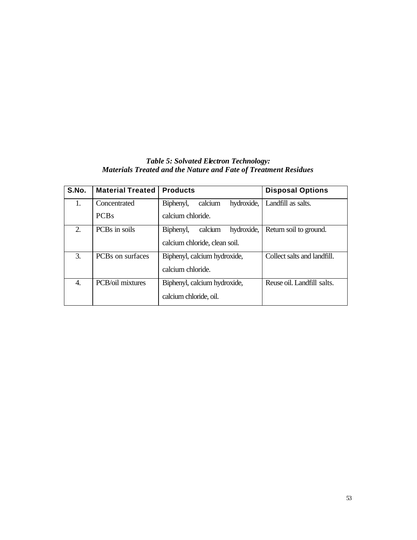# *Table 5: Solvated Electron Technology: Materials Treated and the Nature and Fate of Treatment Residues*

| S.No. | <b>Material Treated</b> | <b>Products</b>                    | <b>Disposal Options</b>     |
|-------|-------------------------|------------------------------------|-----------------------------|
| 1.    | Concentrated            | calcium<br>hydroxide,<br>Biphenyl, | Landfill as salts.          |
|       | <b>PCBs</b>             | calcium chloride.                  |                             |
| 2.    | PCBs in soils           | hydroxide,<br>calcium<br>Biphenyl, | Return soil to ground.      |
|       |                         | calcium chloride, clean soil.      |                             |
| 3.    | PCBs on surfaces        | Biphenyl, calcium hydroxide,       | Collect salts and landfill. |
|       |                         | calcium chloride.                  |                             |
| 4.    | PCB/oil mixtures        | Biphenyl, calcium hydroxide,       | Reuse oil. Landfill salts.  |
|       |                         | calcium chloride, oil.             |                             |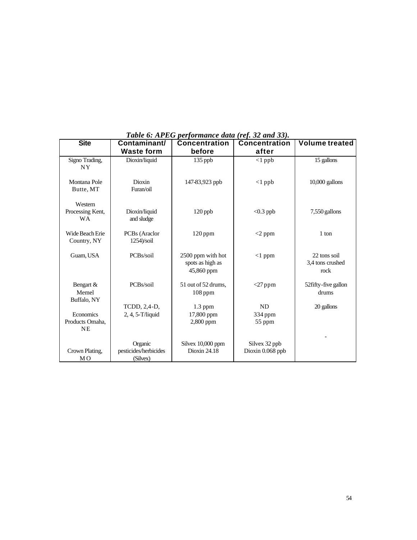| <b>Site</b>                                      | Contaminant/                                 | <b>Concentration</b>                                | <b>Concentration</b>              | <b>Volume treated</b>                    |
|--------------------------------------------------|----------------------------------------------|-----------------------------------------------------|-----------------------------------|------------------------------------------|
|                                                  | <b>Waste form</b>                            | before                                              | after                             |                                          |
| Signo Trading,<br><b>NY</b>                      | Dioxin/liquid                                | 135 ppb                                             | $<1$ ppb                          | 15 gallons                               |
| Montana Pole<br>Butte, MT                        | Dioxin<br>Furan/oil                          | 147-83,923 ppb                                      | $<1$ ppb                          | $10,000$ gallons                         |
| Western<br>Processing Kent,<br><b>WA</b>         | Dioxin/liquid<br>and sludge                  | 120 ppb                                             | $< 0.3$ ppb                       | 7,550 gallons                            |
| Wide Beach Erie<br>Country, NY                   | PCBs (Araclor<br>$1254$ /soil                | $120$ ppm                                           | $<$ 2 ppm                         | 1 ton                                    |
| Guam, USA                                        | PCBs/soil                                    | 2500 ppm with hot<br>spots as high as<br>45,860 ppm | $<1$ ppm                          | 22 tons soil<br>3,4 tons crushed<br>rock |
| Bengart &<br>Memel<br>Buffalo, NY                | PCBs/soil                                    | 51 out of 52 drums,<br>$108$ ppm                    | $<$ 27 ppm                        | 52 fifty-five gallon<br>drums            |
| <b>Economics</b><br>Products Omaha,<br><b>NE</b> | TCDD, 2,4-D,<br>2, 4, 5-T/liquid             | $1.3$ ppm<br>17,800 ppm<br>2,800 ppm                | <b>ND</b><br>334 ppm<br>55 ppm    | 20 gallons                               |
| Crown Plating,<br>M <sub>O</sub>                 | Organic<br>pesticides/herbicides<br>(Silvex) | Silvex 10,000 ppm<br>Dioxin 24.18                   | Silvex 32 ppb<br>Dioxin 0.068 ppb |                                          |

*Table 6: APEG performance data (ref. 32 and 33).*